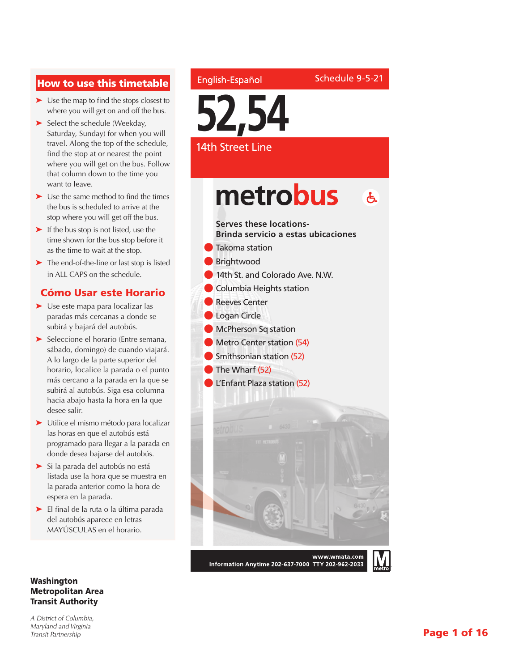### How to use this timetable

- ➤ Use the map to find the stops closest to where you will get on and off the bus.
- ➤ Select the schedule (Weekday, Saturday, Sunday) for when you will travel. Along the top of the schedule, find the stop at or nearest the point where you will get on the bus. Follow that column down to the time you want to leave.
- ➤ Use the same method to find the times the bus is scheduled to arrive at the stop where you will get off the bus.
- ➤ If the bus stop is not listed, use the time shown for the bus stop before it as the time to wait at the stop.
- ➤ The end-of-the-line or last stop is listed in ALL CAPS on the schedule.

#### Cómo Usar este Horario

- ➤ Use este mapa para localizar las paradas más cercanas a donde se subirá y bajará del autobús.
- ➤ Seleccione el horario (Entre semana, sábado, domingo) de cuando viajará. A lo largo de la parte superior del horario, localice la parada o el punto más cercano a la parada en la que se subirá al autobús. Siga esa columna hacia abajo hasta la hora en la que desee salir.
- ➤ Utilice el mismo método para localizar las horas en que el autobús está programado para llegar a la parada en donde desea bajarse del autobús.
- ➤ Si la parada del autobús no está listada use la hora que se muestra en la parada anterior como la hora de espera en la parada.
- ➤ El final de la ruta o la última parada del autobús aparece en letras MAYÚSCULAS en el horario.

#### Washington Metropolitan Area Transit Authority

*A District of Columbia, Maryland and Virginia Transit Partnership*

## English-Español

Schedule 9-5-21

**52,54**

#### 14th Street Line

# metrobus  $\mathbf{A}$

#### **Serves these locations-Brinda servicio a estas ubicaciones**

- **l** Takoma station
- **Brightwood** 
	- 14th St. and Colorado Ave. N.W.
- **Columbia Heights station**
- Reeves Center
- **Logan Circle**
- **In McPherson Sq station**
- **In Metro Center station (54)**
- **Smithsonian station (52)**
- **l** The Wharf (52)
- l L'Enfant Plaza station (52)



Information Anytime 202-637-7000 TTY 202-962-2033

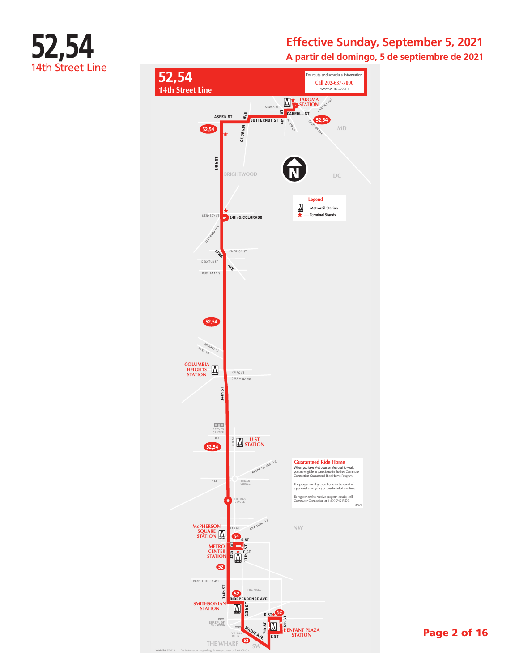

**A partir del domingo, 5 de septiembre de 2021**



Page 2 of 16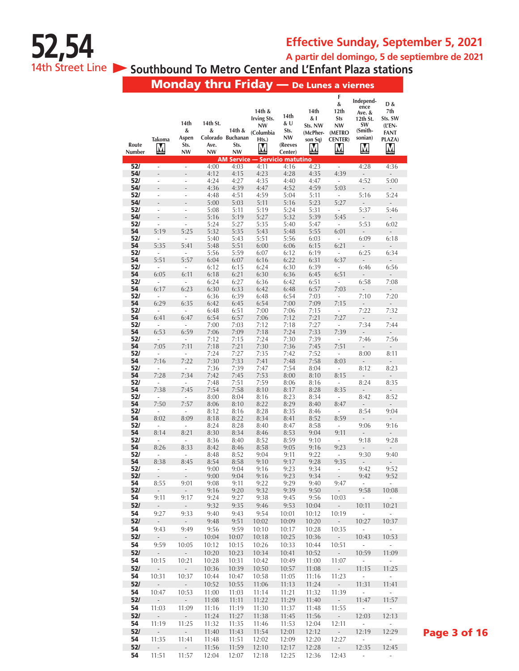# **52,54**

# **Effective Sunday, September 5, 2021**

**A partir del domingo, 5 de septiembre de 2021**

14th Street Line **Southbound To Metro Center and L'Enfant Plaza stations** 

Monday thru Friday — De Lunes a viernes

|            |                                   | 14th                              | 14th St.          |                             | 14th &<br><b>Irving Sts.</b><br><b>NW</b> | 14th<br>& U    | 14th<br>& I<br>Sts. NW | F<br>&<br>12th<br><b>Sts</b><br>NW | Independ-<br>ence<br>Ave. &<br>12th St.<br>SW | D &<br>7th<br>Sts. SW            |
|------------|-----------------------------------|-----------------------------------|-------------------|-----------------------------|-------------------------------------------|----------------|------------------------|------------------------------------|-----------------------------------------------|----------------------------------|
|            |                                   | &<br>Aspen                        | &                 | 14th &<br>Colorado Buchanan | (Columbia                                 | Sts.<br>NW     | (McPher-               | (METRO                             | (Smith-<br>sonian)                            | (L'EN-<br><b>FANT</b>            |
| Route      | <b>Takoma</b><br>M                | Sts.                              | Ave.<br><b>NW</b> | Sts.                        | Hts.)<br>M                                | (Reeves        | son Sq)<br>M           | <b>CENTER)</b><br>M                | M                                             | PLAZA)<br>M                      |
| Number     |                                   | <b>NW</b>                         |                   | NW                          | <b>AM Service - Servicio matutino</b>     | Center)        |                        |                                    |                                               |                                  |
| 52/        | $\overline{\phantom{a}}$          | $\overline{\phantom{a}}$          | 4:00              | 4:03                        | 4:11                                      | 4:16           | 4:23                   | $\overline{\phantom{a}}$           | 4:28                                          | 4:36                             |
| 54/<br>52/ | $\overline{a}$<br>÷,              | $\frac{1}{2}$<br>÷,               | 4:12<br>4:24      | 4:15<br>4:27                | 4:23<br>4:35                              | 4:28<br>4:40   | 4:35<br>4:47           | 4:39<br>$\bar{a}$                  | $\overline{a}$<br>4:52                        | ÷,<br>5:00                       |
| 54/        | $\overline{a}$                    | Ē,                                | 4:36              | 4:39                        | 4:47                                      | 4:52           | 4:59                   | 5:03                               | $\overline{\phantom{m}}$                      | $\overline{\phantom{a}}$         |
| 52/<br>54/ | ÷,<br>$\overline{\phantom{m}}$    | ÷,<br>Ĭ.                          | 4:48<br>5:00      | 4:51<br>5:03                | 4:59<br>5:11                              | 5:04<br>5:16   | 5:11<br>5:23           | ÷.<br>5:27                         | 5:16<br>$\overline{a}$                        | 5:24<br>$\overline{a}$           |
| 52/        | ÷,                                | ä,                                | 5:08              | 5:11                        | 5:19                                      | 5:24           | 5:31                   | ÷                                  | 5:37                                          | 5:46                             |
| 54/        | $\overline{a}$                    | L.                                | 5:16              | 5:19                        | 5:27                                      | 5:32           | 5:39                   | 5:45                               | $\overline{\phantom{m}}$                      | ÷,                               |
| 52/<br>54  | ÷,<br>5:19                        | ä,<br>5:25                        | 5:24<br>5:32      | 5:27<br>5:35                | 5:35<br>5:43                              | 5:40<br>5:48   | 5:47<br>5:55           | ÷,<br>6:01                         | 5:53<br>$\overline{\phantom{m}}$              | 6:02<br>$\overline{a}$           |
| 52/        | ÷,                                | ÷,                                | 5:40              | 5:43                        | 5:51                                      | 5:56           | 6:03                   | $\overline{\phantom{a}}$           | 6:09                                          | 6:18                             |
| 54<br>52/  | 5:35<br>÷,                        | 5:41<br>÷,                        | 5:48<br>5:56      | 5:51<br>5:59                | 6:00<br>6:07                              | 6:06<br>6:12   | 6:15<br>6:19           | 6:21<br>$\overline{\phantom{a}}$   | L,<br>6:25                                    | $\overline{\phantom{0}}$<br>6:34 |
| 54         | 5:51                              | 5:57                              | 6:04              | 6:07                        | 6:16                                      | 6:22           | 6:31                   | 6:37                               | ÷,                                            | ÷,                               |
| 52/<br>54  | $\bar{a}$<br>6:05                 | ÷,<br>6:11                        | 6:12<br>6:18      | 6:15<br>6:21                | 6:24<br>6:30                              | 6:30<br>6:36   | 6:39                   | $\bar{a}$<br>6:51                  | 6:46                                          | 6:56                             |
| 52/        | ÷,                                | $\sim$                            | 6:24              | 6:27                        | 6:36                                      | 6:42           | 6:45<br>6:51           | $\overline{\phantom{a}}$           | $\overline{\phantom{a}}$<br>6:58              | 7:08                             |
| 54         | 6:17                              | 6:23                              | 6:30              | 6:33                        | 6:42                                      | 6:48           | 6:57                   | 7:03                               | $\frac{1}{2}$                                 | $\qquad \qquad -$                |
| 52/<br>54  | 6:29                              | ä,<br>6:35                        | 6:36<br>6:42      | 6:39<br>6:45                | 6:48<br>6:54                              | 6:54<br>7:00   | 7:03<br>7:09           | ÷<br>7:15                          | 7:10<br>$\overline{\phantom{a}}$              | 7:20<br>$\overline{\phantom{a}}$ |
| 52/        | ÷,                                | ÷,                                | 6:48              | 6:51                        | 7:00                                      | 7:06           | 7:15                   | ÷,                                 | 7:22                                          | 7:32                             |
| 54<br>52/  | 6:41<br>$\overline{\phantom{a}}$  | 6:47<br>÷,                        | 6:54<br>7:00      | 6:57<br>7:03                | 7:06<br>7:12                              | 7:12<br>7:18   | 7:21<br>7:27           | 7:27<br>÷,                         | $\overline{\phantom{m}}$<br>7:34              | $\overline{\phantom{0}}$<br>7:44 |
| 54         | 6:53                              | 6:59                              | 7:06              | 7:09                        | 7:18                                      | 7:24           | 7:33                   | 7:39                               | $\overline{\phantom{m}}$                      | $\overline{\phantom{a}}$         |
| 52/        | $\overline{\phantom{a}}$          | ÷                                 | 7:12              | 7:15                        | 7:24                                      | 7:30           | 7:39                   | $\overline{\phantom{a}}$           | 7:46                                          | 7:56                             |
| 54<br>52/  | 7:05<br>$\bar{a}$                 | 7:11<br>÷,                        | 7:18<br>7:24      | 7:21<br>7:27                | 7:30<br>7:35                              | 7:36<br>7:42   | 7:45<br>7:52           | 7:51<br>$\bar{a}$                  | ÷,<br>8:00                                    | ÷,<br>8:11                       |
| 54         | 7:16                              | 7:22                              | 7:30              | 7:33                        | 7:41                                      | 7:48           | 7:58                   | 8:03                               | -                                             | ÷,                               |
| 52/<br>54  | ÷,<br>7:28                        | ÷,<br>7:34                        | 7:36<br>7:42      | 7:39<br>7:45                | 7:47<br>7:53                              | 7:54<br>8:00   | 8:04<br>8:10           | $\bar{a}$<br>8:15                  | 8:12<br>÷,                                    | 8:23<br>÷,                       |
| 52/        | L,                                | ä,                                | 7:48              | 7:51                        | 7:59                                      | 8:06           | 8:16                   | ÷                                  | 8:24                                          | 8:35                             |
| 54         | 7:38                              | 7:45                              | 7:54              | 7:58                        | 8:10                                      | 8:17           | 8:28                   | 8:35                               | $\overline{\phantom{a}}$                      | $\frac{1}{2}$                    |
| 52/<br>54  | ä,<br>7:50                        | $\overline{\phantom{a}}$<br>7:57  | 8:00<br>8:06      | 8:04<br>8:10                | 8:16<br>8:22                              | 8:23<br>8:29   | 8:34<br>8:40           | ÷,<br>8:47                         | 8:42<br>$\frac{1}{2}$                         | 8:52<br>$\overline{\phantom{0}}$ |
| 52/        | $\overline{\phantom{a}}$          | ÷,                                | 8:12              | 8:16                        | 8:28                                      | 8:35           | 8:46                   | $\overline{\phantom{a}}$           | 8:54                                          | 9:04                             |
| 54<br>52/  | 8:02<br>$\overline{\phantom{a}}$  | 8:09<br>÷                         | 8:18<br>8:24      | 8:22<br>8:28                | 8:34<br>8:40                              | 8:41<br>8:47   | 8:52<br>8:58           | 8:59<br>$\overline{\phantom{a}}$   | $\overline{\phantom{m}}$<br>9:06              | $\overline{\phantom{0}}$<br>9:16 |
| 54         | 8:14                              | 8:21                              | 8:30              | 8:34                        | 8:46                                      | 8:53           | 9:04                   | 9:11                               | $\overline{a}$                                | ÷,                               |
| 52/<br>54  | $\bar{a}$<br>8:26                 | $\bar{a}$<br>8:33                 | 8:36<br>8:42      | 8:40<br>8:46                | 8:52<br>8:58                              | 8:59<br>9:05   | 9:10<br>9:16           | ÷,<br>9:23                         | 9:18                                          | 9:28                             |
| 52/        | $\bar{a}$                         | ÷,                                | 8:48              | 8:52                        | 9:04                                      | 9:11           | 9:22                   | $\bar{a}$                          | 9:30                                          | 9:40                             |
| 54<br>52/  | 8:38                              | 8:45                              | 8:54              | 8:58                        | 9:10                                      | 9:17           | 9:28                   | 9:35                               | $\frac{1}{2}$                                 | $\overline{\phantom{0}}$         |
| 52/        | L,                                |                                   | 9:00<br>9:00      | 9:04<br>9:04                | 9:16<br>9:16                              | 9:23<br>9:23   | 9:34<br>9:34           |                                    | 9:42<br>9:42                                  | 9:52<br>9:52                     |
| 54         | 8:55                              | 9:01                              | 9:08              | 9:11                        | 9:22                                      | 9:29           | 9:40                   | 9:47                               |                                               |                                  |
| 52/<br>54  | $\overline{\phantom{a}}$<br>9:11  | $\overline{\phantom{a}}$<br>9:17  | 9:16<br>9:24      | 9:20<br>9:27                | 9:32<br>9:38                              | 9:39<br>9:45   | 9:50<br>9:56           | $\sim$<br>10:03                    | 9:58<br>$\Box$                                | 10:08<br>÷,                      |
| 52/        | $\overline{\phantom{a}}$          | $\overline{\phantom{a}}$          | 9:32              | 9:35                        | 9:46                                      | 9:53           | 10:04                  | $\sim$                             | 10:11                                         | 10:21                            |
| 54<br>52/  | 9:27                              | 9:33<br>$\mathcal{L}^{\pm}$       | 9:40              | 9:43                        | 9:54<br>10:02                             | 10:01          | 10:12                  | 10:19                              | ä,                                            | ÷,                               |
| 54         | $\sim$<br>9:43                    | 9:49                              | 9:48<br>9:56      | 9:51<br>9:59                | 10:10                                     | 10:09<br>10:17 | 10:20<br>10:28         | $\sim$<br>10:35                    | 10:27<br>÷,                                   | 10:37<br>÷,                      |
| 52/        | $\sim$                            | $\omega_{\rm c}$                  | 10:04             | 10:07                       | 10:18                                     | 10:25          | 10:36                  | $\sim$                             | 10:43                                         | 10:53                            |
| 54         | 9:59                              | 10:05                             | 10:12             | 10:15                       | 10:26                                     | 10:33          | 10:44                  | 10:51                              | $\overline{\phantom{a}}$                      |                                  |
| 52/<br>54  | $\overline{\phantom{a}}$<br>10:15 | $\overline{\phantom{a}}$<br>10:21 | 10:20<br>10:28    | 10:23<br>10:31              | 10:34<br>10:42                            | 10:41<br>10:49 | 10:52<br>11:00         | $\mathbb{Z}^2$<br>11:07            | 10:59<br>÷,                                   | 11:09<br>÷,                      |
| 52/        | ÷,                                | $\mathbb{Z}^2$                    | 10:36             | 10:39                       | 10:50                                     | 10:57          | 11:08                  | $\sim$                             | 11:15                                         | 11:25                            |
| 54         | 10:31                             | 10:37                             | 10:44             | 10:47                       | 10:58                                     | 11:05          | 11:16                  | 11:23                              | $\overline{\phantom{a}}$                      | $\mathcal{L}_{\mathcal{A}}$      |
| 52/<br>54  | $\overline{\phantom{a}}$<br>10:47 | 10:53                             | 10:52<br>11:00    | 10:55<br>11:03              | 11:06<br>11:14                            | 11:13<br>11:21 | 11:24<br>11:32         | $\overline{\phantom{a}}$<br>11:39  | 11:31<br>$\omega$                             | 11:41<br>÷.                      |
| 52/        | ÷,                                | $\mathcal{L}_{\mathcal{A}}$       | 11:08             | 11:11                       | 11:22                                     | 11:29          | 11:40                  | $\mathcal{L}_{\mathcal{A}}$        | 11:47                                         | 11:57                            |
| 54         | 11:03                             | 11:09                             | 11:16             | 11:19                       | 11:30                                     | 11:37          | 11:48                  | 11:55                              | $\overline{\phantom{a}}$                      | $\mathcal{L}_{\mathcal{A}}$      |
| 52/<br>54  | $\Box$<br>11:19                   | $\sim$<br>11:25                   | 11:24<br>11:32    | 11:27<br>11:35              | 11:38<br>11:46                            | 11:45<br>11:53 | 11:56<br>12:04         | $\omega_{\rm c}$<br>12:11          | 12:03<br>÷,                                   | 12:13<br>÷.                      |
| 52/        | $\Box$                            | $\mathbb{Z}^{\times}$             | 11:40             | 11:43                       | 11:54                                     | 12:01          | 12:12                  | ÷,                                 | 12:19                                         | 12:29                            |
| 54         | 11:35                             | 11:41                             | 11:48             | 11:51                       | 12:02                                     | 12:09          | 12:20                  | 12:27                              | $\overline{\phantom{a}}$                      | $\mathcal{L}_{\mathcal{A}}$      |
| 52/<br>54  | $\overline{\phantom{a}}$          | ÷,<br>11:57                       | 11:56             | 11:59                       | 12:10                                     | 12:17          | 12:28                  | $\sim$                             | 12:35                                         | 12:45<br>÷.                      |
|            | 11:51                             |                                   | 12:04             | 12:07                       | 12:18                                     | 12:25          | 12:36                  | 12:43                              | $\overline{\phantom{a}}$                      |                                  |

Page 3 of 16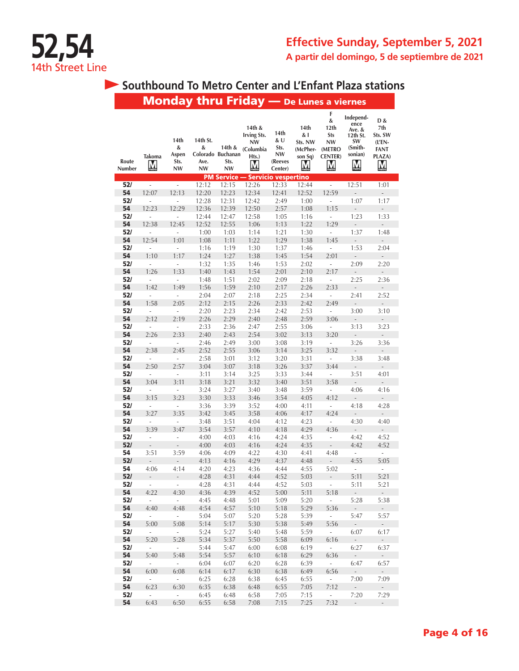

# **Southbound To Metro Center and L'Enfant Plaza stations**

|                 |                                     |                                         |                             |                                                  | <b>Monday thru Friday</b> — De Lunes a viernes                       |                                                        |                                                    |                                                               |                                                                          |                                                                                 |
|-----------------|-------------------------------------|-----------------------------------------|-----------------------------|--------------------------------------------------|----------------------------------------------------------------------|--------------------------------------------------------|----------------------------------------------------|---------------------------------------------------------------|--------------------------------------------------------------------------|---------------------------------------------------------------------------------|
| Route<br>Number | Takoma<br><u>M</u>                  | 14th<br>&<br>Aspen<br>Sts.<br><b>NW</b> | 14th St.<br>&<br>Ave.<br>NW | 14th &<br>Colorado Buchanan<br>Sts.<br><b>NW</b> | 14th &<br><b>Irving Sts.</b><br><b>NW</b><br>(Columbia<br>Hts.)<br>M | 14th<br>& U<br>Sts.<br><b>NW</b><br>(Reeves<br>Center) | 14th<br>& I<br>Sts. NW<br>(McPher-<br>son Sq)<br>M | F<br>&<br>12th<br>Sts<br>NW<br>(METRO<br><b>CENTER</b> )<br>M | Independ-<br>ence<br>Ave. &<br>12th St.<br>SW<br>(Smith-<br>sonian)<br>M | D &<br>7th<br>Sts. SW<br>$($ L'EN-<br>FANT<br>PLAZA)<br>$\overline{\mathsf{M}}$ |
|                 |                                     |                                         |                             | <b>PM Service -</b>                              | - Servicio vespertino                                                |                                                        |                                                    |                                                               |                                                                          |                                                                                 |
| 52/             | ä,                                  | $\overline{\phantom{a}}$                | 12:12                       | 12:15                                            | 12:26                                                                | 12:33                                                  | 12:44                                              | ä,                                                            | 12:51                                                                    | 1:01                                                                            |
| 54              | 12:07                               | 12:13                                   | 12:20                       | 12:23                                            | 12:34                                                                | 12:41                                                  | 12:52                                              | 12:59                                                         | $\overline{a}$                                                           | $\overline{a}$                                                                  |
| 52/<br>54       | ÷,<br>12:23                         | $\overline{\phantom{a}}$<br>12:29       | 12:28<br>12:36              | 12:31<br>12:39                                   | 12:42<br>12:50                                                       | 2:49<br>2:57                                           | 1:00<br>1:08                                       | $\overline{\phantom{a}}$<br>1:15                              | 1:07                                                                     | 1:17                                                                            |
| 52/             | i.                                  | ÷,                                      | 12:44                       | 12:47                                            | 12:58                                                                | 1:05                                                   | 1:16                                               | ÷,                                                            | ÷,<br>1:23                                                               | $\overline{\phantom{a}}$<br>1:33                                                |
| 54              | 12:38                               | 12:45                                   | 12:52                       | 12:55                                            | 1:06                                                                 | 1:13                                                   | 1:22                                               | 1:29                                                          | ÷,                                                                       | ÷,                                                                              |
| 52/             | i.                                  | ÷,                                      | 1:00                        | 1:03                                             | 1:14                                                                 | 1:21                                                   | 1:30                                               | $\overline{\phantom{a}}$                                      | 1:37                                                                     | 1:48                                                                            |
| 54              | 12:54                               | 1:01                                    | 1:08                        | 1:11                                             | 1:22                                                                 | 1:29                                                   | 1:38                                               | 1:45                                                          | $\overline{a}$                                                           |                                                                                 |
| 52/             | $\frac{1}{2}$                       | ÷,                                      | 1:16                        | 1:19                                             | 1:30                                                                 | 1:37                                                   | 1:46                                               | $\overline{\phantom{a}}$                                      | 1:53                                                                     | 2:04                                                                            |
| 54              | 1:10                                | 1:17                                    | 1:24                        | 1:27                                             | 1:38                                                                 | 1:45                                                   | 1:54                                               | 2:01                                                          |                                                                          |                                                                                 |
| 52/             | ÷,                                  | ÷,                                      | 1:32                        | 1:35                                             | 1:46                                                                 | 1:53                                                   | 2:02                                               | $\overline{\phantom{a}}$                                      | 2:09                                                                     | 2:20                                                                            |
| 54              | 1:26                                | 1:33                                    | 1:40                        | 1:43                                             | 1:54                                                                 | 2:01                                                   | 2:10                                               | 2:17                                                          | L,                                                                       | $\overline{\phantom{m}}$                                                        |
| 52/             | ÷,                                  | ÷,                                      | 1:48                        | 1:51                                             | 2:02                                                                 | 2:09                                                   | 2:18                                               | $\blacksquare$                                                | 2:25                                                                     | 2:36                                                                            |
| 54              | 1:42                                | 1:49                                    | 1:56                        | 1:59                                             | 2:10                                                                 | 2:17                                                   | 2:26                                               | 2:33                                                          | ÷,                                                                       | ÷,                                                                              |
| 52/<br>54       | ÷<br>1:58                           | $\overline{\phantom{a}}$<br>2:05        | 2:04<br>2:12                | 2:07<br>2:15                                     | 2:18<br>2:26                                                         | 2:25<br>2:33                                           | 2:34<br>2:42                                       | $\overline{\phantom{a}}$<br>2:49                              | 2:41                                                                     | 2:52                                                                            |
| 52/             | ÷                                   | ÷                                       | 2:20                        | 2:23                                             | 2:34                                                                 | 2:42                                                   | 2:53                                               | i,                                                            | $\overline{a}$<br>3:00                                                   | $\overline{a}$<br>3:10                                                          |
| 54              | 2:12                                | 2:19                                    | 2:26                        | 2:29                                             | 2:40                                                                 | 2:48                                                   | 2:59                                               | 3:06                                                          | $\overline{a}$                                                           | $\frac{1}{2}$                                                                   |
| 52/             | $\overline{a}$                      | $\overline{a}$                          | 2:33                        | 2:36                                             | 2:47                                                                 | 2:55                                                   | 3:06                                               | i,                                                            | 3:13                                                                     | 3:23                                                                            |
| 54              | 2:26                                | 2:33                                    | 2:40                        | 2:43                                             | 2:54                                                                 | 3:02                                                   | 3:13                                               | 3:20                                                          | $\overline{a}$                                                           |                                                                                 |
| 52/             | i,                                  | $\overline{a}$                          | 2:46                        | 2:49                                             | 3:00                                                                 | 3:08                                                   | 3:19                                               | $\overline{\phantom{a}}$                                      | 3:26                                                                     | 3:36                                                                            |
| 54              | 2:38                                | 2:45                                    | 2:52                        | 2:55                                             | 3:06                                                                 | 3:14                                                   | 3:25                                               | 3:32                                                          | L,                                                                       | $\frac{1}{2}$                                                                   |
| 52/             | i,                                  | ÷,                                      | 2:58                        | 3:01                                             | 3:12                                                                 | 3:20                                                   | 3:31                                               | L,                                                            | 3:38                                                                     | 3:48                                                                            |
| 54              | 2:50                                | 2:57                                    | 3:04                        | 3:07                                             | 3:18                                                                 | 3:26                                                   | 3:37                                               | 3:44                                                          | ÷                                                                        | $\overline{a}$                                                                  |
| 52/             | $\overline{a}$                      | $\frac{1}{2}$                           | 3:11                        | 3:14                                             | 3:25                                                                 | 3:33                                                   | 3:44                                               | -                                                             | 3:51                                                                     | 4:01                                                                            |
| 54<br>52/       | 3:04<br>$\frac{1}{2}$               | 3:11<br>÷,                              | 3:18<br>3:24                | 3:21<br>3:27                                     | 3:32                                                                 | 3:40                                                   | 3:51                                               | 3:58<br>÷,                                                    | $\overline{a}$                                                           | $\overline{a}$                                                                  |
| 54              | 3:15                                | 3:23                                    | 3:30                        | 3:33                                             | 3:40<br>3:46                                                         | 3:48<br>3:54                                           | 3:59<br>4:05                                       | 4:12                                                          | 4:06                                                                     | 4:16                                                                            |
| 52/             | $\blacksquare$                      | $\bar{a}$                               | 3:36                        | 3:39                                             | 3:52                                                                 | 4:00                                                   | 4:11                                               | $\overline{\phantom{a}}$                                      | 4:18                                                                     | 4:28                                                                            |
| 54              | 3:27                                | 3:35                                    | 3:42                        | 3:45                                             | 3:58                                                                 | 4:06                                                   | 4:17                                               | 4:24                                                          | $\overline{a}$                                                           |                                                                                 |
| 52/             | ÷,                                  | $\frac{1}{2}$                           | 3:48                        | 3:51                                             | 4:04                                                                 | 4:12                                                   | 4:23                                               | ÷,                                                            | 4:30                                                                     | 4:40                                                                            |
| 54              | 3:39                                | 3:47                                    | 3:54                        | 3:57                                             | 4:10                                                                 | 4:18                                                   | 4:29                                               | 4:36                                                          | L,                                                                       | $\frac{1}{2}$                                                                   |
| 52/             | ÷                                   | $\overline{\phantom{a}}$                | 4:00                        | 4:03                                             | 4:16                                                                 | 4:24                                                   | 4:35                                               | ÷,                                                            | 4:42                                                                     | 4:52                                                                            |
| 52/             | $\overline{\phantom{a}}$            | L,                                      | 4:00                        | 4:03                                             | 4:16                                                                 | 4:24                                                   | 4:35                                               | $\overline{\phantom{a}}$                                      | 4:42                                                                     | 4:52                                                                            |
| 54<br>52/       | 3:51<br>$\overline{a}$              | 3:59<br>$\overline{a}$                  | 4:06<br>4:13                | 4:09<br>4:16                                     | 4:22<br>4:29                                                         | 4:30<br>4:37                                           | 4:41<br>4:48                                       | 4:48<br>$\overline{a}$                                        | ÷<br>4:55                                                                | ÷,<br>5:05                                                                      |
| 54              | 4:06                                | 4:14                                    | 4:20                        | 4:23                                             | 4:36                                                                 | 4:44                                                   | 4:55                                               | 5:02                                                          | ä,                                                                       | ä,                                                                              |
| 52/             |                                     |                                         | 4:28                        | 4:31                                             | 4:44                                                                 | 4:52                                                   | 5:03                                               |                                                               | 5:11                                                                     | 5:21                                                                            |
| 52/             | $\sim$                              | $\overline{\phantom{a}}$                | 4:28                        | 4:31                                             | 4:44                                                                 | 4:52                                                   | 5:03                                               | $\omega_{\rm{eff}}$                                           | 5:11                                                                     | 5:21                                                                            |
| 54              | 4:22                                | 4:30                                    | 4:36                        | 4:39                                             | 4:52                                                                 | 5:00                                                   | 5:11                                               | 5:18                                                          | $\sim$                                                                   | $\overline{\phantom{a}}$                                                        |
| 52/             | $\omega$                            | $\mathbb{Z}^{\mathbb{Z}}$               | 4:45                        | 4:48                                             | 5:01                                                                 | 5:09                                                   | 5:20                                               | $\omega_{\rm{eff}}$                                           | 5:28                                                                     | 5:38                                                                            |
| 54              | 4:40                                | 4:48                                    | 4:54                        | 4:57                                             | 5:10                                                                 | 5:18                                                   | 5:29                                               | 5:36                                                          | $\omega$                                                                 | $\mathcal{L}_{\mathcal{A}}$                                                     |
| 52/             | $\sim$                              | $\omega$                                | 5:04                        | 5:07                                             | 5:20                                                                 | 5:28                                                   | 5:39                                               | $\sim$                                                        | 5:47                                                                     | 5:57                                                                            |
| 54<br>52/       | 5:00<br>$\mathcal{L}_{\mathcal{A}}$ | 5:08<br>$\omega_{\rm{eff}}$             | 5:14<br>5:24                | 5:17<br>5:27                                     | 5:30<br>5:40                                                         | 5:38<br>5:48                                           | 5:49<br>5:59                                       | 5:56<br>$\sim$                                                | $\sim$<br>6:07                                                           | ÷,<br>6:17                                                                      |
| 54              | 5:20                                | 5:28                                    | 5:34                        | 5:37                                             | 5:50                                                                 | 5:58                                                   | 6:09                                               | 6:16                                                          | $\omega$                                                                 | $\mathbb{Z}^2$                                                                  |
| 52/             | $\omega$                            | $\omega$ .                              | 5:44                        | 5:47                                             | 6:00                                                                 | 6:08                                                   | 6:19                                               | $\omega$                                                      | 6:27                                                                     | 6:37                                                                            |
| 54              | 5:40                                | 5:48                                    | 5:54                        | 5:57                                             | 6:10                                                                 | 6:18                                                   | 6:29                                               | 6:36                                                          | $\sim$                                                                   | $\mathbb{Z}^{\times}$                                                           |
| 52/             | ä,                                  | $\mathcal{L}^{\pm}$                     | 6:04                        | 6:07                                             | 6:20                                                                 | 6:28                                                   | 6:39                                               | $\mathcal{L}^{\text{max}}$                                    | 6:47                                                                     | 6:57                                                                            |
| 54              | 6:00                                | 6:08                                    | 6:14                        | 6:17                                             | 6:30                                                                 | 6:38                                                   | 6:49                                               | 6:56                                                          | $\mathcal{L}_{\mathcal{A}}$                                              | $\sim$                                                                          |
| 52/             | $\sim$                              | $\mathcal{L}_{\mathrm{eff}}$            | 6:25                        | 6:28                                             | 6:38                                                                 | 6:45                                                   | 6:55                                               | $\sim$                                                        | 7:00                                                                     | 7:09                                                                            |
| 54<br>52/       | 6:23                                | 6:30                                    | 6:35<br>6:45                | 6:38                                             | 6:48                                                                 | 6:55<br>7:05                                           | 7:05                                               | 7:12                                                          | $\sim$<br>7:20                                                           | $\overline{\phantom{a}}$<br>7:29                                                |
| 54              | $\overline{\phantom{a}}$<br>6:43    | $\sim$<br>6:50                          | 6:55                        | 6:48<br>6:58                                     | 6:58<br>7:08                                                         | 7:15                                                   | 7:15<br>7:25                                       | $\sim$<br>7:32                                                | $\sim$                                                                   | ÷,                                                                              |
|                 |                                     |                                         |                             |                                                  |                                                                      |                                                        |                                                    |                                                               |                                                                          |                                                                                 |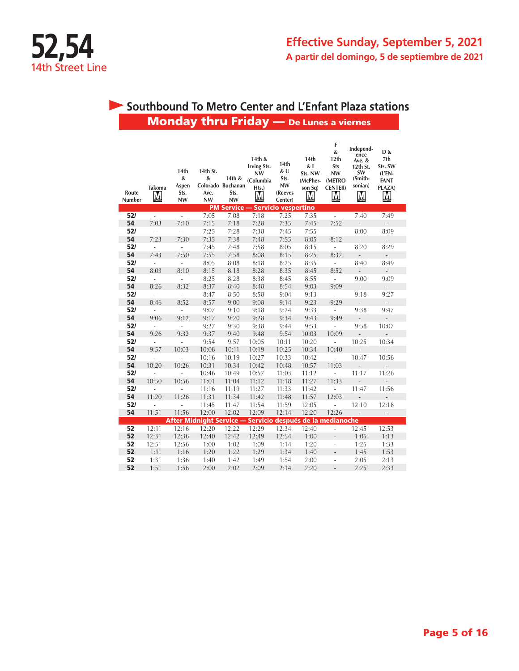

# Monday thru Friday — De Lunes a viernes **Southbound To Metro Center and L'Enfant Plaza stations**

| Route<br>Number | Takoma<br><u>М</u>       | 14th<br>&<br>Aspen<br>Sts.<br><b>NW</b> | 14th St.<br>&<br>Ave.<br><b>NW</b> | 14th &<br>Colorado Buchanan<br>Sts.<br><b>NW</b> | 14th &<br><b>Irving Sts.</b><br><b>NW</b><br>(Columbia<br>Hts.)<br>$\overline{\mathsf{M}}$ | 14th<br>&U<br>Sts.<br><b>NW</b><br>(Reeves<br>Center) | 14th<br>&1<br>Sts. NW<br>(McPher-<br>son Sq)<br>M | F<br>&<br>12th<br><b>Sts</b><br><b>NW</b><br>(METRO<br><b>CENTER</b> )<br>Ņ | Independ-<br>ence<br>Ave. &<br>12th St.<br>SW<br>(Smith-<br>sonian)<br>M | D &<br>7th<br>Sts. SW<br>$(L'EN -$<br><b>FANT</b><br>PLAZA)<br>M |  |
|-----------------|--------------------------|-----------------------------------------|------------------------------------|--------------------------------------------------|--------------------------------------------------------------------------------------------|-------------------------------------------------------|---------------------------------------------------|-----------------------------------------------------------------------------|--------------------------------------------------------------------------|------------------------------------------------------------------|--|
|                 |                          |                                         |                                    | <b>PM Service -</b>                              | - Servicio vespertino                                                                      |                                                       |                                                   |                                                                             |                                                                          |                                                                  |  |
| 52/             | L,                       | $\overline{a}$                          | 7:05                               | 7:08                                             | 7:18                                                                                       | 7:25                                                  | 7:35                                              | $\overline{\phantom{a}}$                                                    | 7:40                                                                     | 7:49                                                             |  |
| 54              | 7:03                     | 7:10                                    | 7:15                               | 7:18                                             | 7:28                                                                                       | 7:35                                                  | 7:45                                              | 7:52                                                                        | $\frac{1}{2}$                                                            | $\overline{\phantom{a}}$                                         |  |
| 52/             | L,                       | $\frac{1}{2}$                           | 7:25                               | 7:28                                             | 7:38                                                                                       | 7:45                                                  | 7:55                                              | $\overline{a}$                                                              | 8:00                                                                     | 8:09                                                             |  |
| 54              | 7:23                     | 7:30                                    | 7:35                               | 7:38                                             | 7:48                                                                                       | 7:55                                                  | 8:05                                              | 8:12                                                                        | $\sim$                                                                   | $\overline{\phantom{0}}$                                         |  |
| 52/             | $\frac{1}{2}$            | $\frac{1}{2}$                           | 7:45                               | 7:48                                             | 7:58                                                                                       | 8:05                                                  | 8:15                                              | $\blacksquare$                                                              | 8:20                                                                     | 8:29                                                             |  |
| 54              | 7:43                     | 7:50                                    | 7:55                               | 7:58                                             | 8:08                                                                                       | 8:15                                                  | 8:25                                              | 8:32                                                                        | $\sim$                                                                   | $\mathcal{L}_{\mathcal{A}}$                                      |  |
| 52/             | $\overline{\phantom{a}}$ | $\overline{\phantom{a}}$                | 8:05                               | 8:08                                             | 8:18                                                                                       | 8:25                                                  | 8:35                                              | $\blacksquare$                                                              | 8:40                                                                     | 8:49                                                             |  |
| 54              | 8:03                     | 8:10                                    | 8:15                               | 8:18                                             | 8:28                                                                                       | 8:35                                                  | 8:45                                              | 8:52                                                                        | $\overline{\phantom{a}}$                                                 | $\overline{\phantom{a}}$                                         |  |
| 52/             | ä,                       | $\overline{\phantom{a}}$                | 8:25                               | 8:28                                             | 8:38                                                                                       | 8:45                                                  | 8:55                                              | L,                                                                          | 9:00                                                                     | 9:09                                                             |  |
| 54              | 8:26                     | 8:32                                    | 8:37                               | 8:40                                             | 8:48                                                                                       | 8:54                                                  | 9:03                                              | 9:09                                                                        | $\overline{\phantom{a}}$                                                 | $\blacksquare$                                                   |  |
| 52/             | L,                       | $\overline{\phantom{a}}$                | 8:47                               | 8:50                                             | 8:58                                                                                       | 9:04                                                  | 9:13                                              | $\overline{\phantom{a}}$                                                    | 9:18                                                                     | 9:27                                                             |  |
| 54              | 8:46                     | 8:52                                    | 8:57                               | 9:00                                             | 9:08                                                                                       | 9:14                                                  | 9:23                                              | 9:29                                                                        | $\overline{\phantom{a}}$                                                 | $\overline{\phantom{a}}$                                         |  |
| 52/             | $\overline{a}$           | $\overline{\phantom{a}}$                | 9:07                               | 9:10                                             | 9:18                                                                                       | 9:24                                                  | 9:33                                              | $\overline{\phantom{a}}$                                                    | 9:38                                                                     | 9:47                                                             |  |
| 54              | 9:06                     | 9:12                                    | 9:17                               | 9:20                                             | 9:28                                                                                       | 9:34                                                  | 9:43                                              | 9:49                                                                        | $\overline{\phantom{a}}$                                                 |                                                                  |  |
| 52/             | $\frac{1}{2}$            | $\overline{a}$                          | 9:27                               | 9:30                                             | 9:38                                                                                       | 9:44                                                  | 9:53                                              | $\frac{1}{2}$                                                               | 9:58                                                                     | 10:07                                                            |  |
| 54              | 9:26                     | 9:32                                    | 9:37                               | 9:40                                             | 9:48                                                                                       | 9:54                                                  | 10:03                                             | 10:09                                                                       | $\sim$                                                                   | $\frac{1}{2}$                                                    |  |
| 52/             | ÷,                       | $\overline{a}$                          | 9:54                               | 9:57                                             | 10:05                                                                                      | 10:11                                                 | 10:20                                             | ÷,                                                                          | 10:25                                                                    | 10:34                                                            |  |
| 54              | 9:57                     | 10:03                                   | 10:08                              | 10:11                                            | 10:19                                                                                      | 10:25                                                 | 10:34                                             | 10:40                                                                       | $\frac{1}{2}$                                                            | $\overline{a}$                                                   |  |
| 52/             | $\overline{a}$           | L.                                      | 10:16                              | 10:19                                            | 10:27                                                                                      | 10:33                                                 | 10:42                                             | $\frac{1}{2}$                                                               | 10:47                                                                    | 10:56                                                            |  |
| 54              | 10:20                    | 10:26                                   | 10:31                              | 10:34                                            | 10:42                                                                                      | 10:48                                                 | 10:57                                             | 11:03                                                                       | $\overline{\phantom{a}}$                                                 | $\frac{1}{2}$                                                    |  |
| 52/             | $\overline{a}$           | $\overline{a}$                          | 10:46                              | 10:49                                            | 10:57                                                                                      | 11:03                                                 | 11:12                                             | $\overline{\phantom{a}}$                                                    | 11:17                                                                    | 11:26                                                            |  |
| 54              | 10:50                    | 10:56                                   | 11:01                              | 11:04                                            | 11:12                                                                                      | 11:18                                                 | 11:27                                             | 11:33                                                                       | $\overline{\phantom{a}}$                                                 |                                                                  |  |
| 52/             |                          |                                         | 11:16                              | 11:19                                            | 11:27                                                                                      | 11:33                                                 | 11:42                                             |                                                                             | 11:47                                                                    | 11:56                                                            |  |
| 54              | 11:20                    | 11:26                                   | 11:31                              | 11:34                                            | 11:42                                                                                      | 11:48                                                 | 11:57                                             | 12:03                                                                       | $\overline{a}$                                                           | $\overline{a}$                                                   |  |
| 52/             | L                        | ÷,                                      | 11:45                              | 11:47                                            | 11:54                                                                                      | 11:59                                                 | 12:05                                             | ÷,                                                                          | 12:10                                                                    | 12:18                                                            |  |
| 54              | 11:51                    | 11:56                                   | 12:00                              | 12:02                                            | 12:09                                                                                      | 12:14                                                 | 12:20                                             | 12:26                                                                       | $\overline{\phantom{a}}$                                                 | $\overline{\phantom{a}}$                                         |  |
|                 |                          |                                         | <b>After Midnight Service -</b>    |                                                  | Servicio después de la medianoche                                                          |                                                       |                                                   |                                                                             |                                                                          |                                                                  |  |
| 52              | 12:11                    | 12:16                                   | 12:20                              | 12:22                                            | 12:29                                                                                      | 12:34                                                 | 12:40                                             |                                                                             | 12:45                                                                    | 12:53                                                            |  |
| 52              | 12:31                    | 12:36                                   | 12:40                              | 12:42                                            | 12:49                                                                                      | 12:54                                                 | 1:00                                              |                                                                             | 1:05                                                                     | 1:13                                                             |  |
| 52              | 12:51                    | 12:56                                   | 1:00                               | 1:02                                             | 1:09                                                                                       | 1:14                                                  | 1:20                                              | $\overline{a}$                                                              | 1:25                                                                     | 1:33                                                             |  |
| 52              | 1:11                     | 1:16                                    | 1:20                               | 1:22                                             | 1:29                                                                                       | 1:34                                                  | 1:40                                              | $\overline{a}$                                                              | 1:45                                                                     | 1:53                                                             |  |
| 52              | 1:31                     | 1:36                                    | 1:40                               | 1:42                                             | 1:49                                                                                       | 1:54                                                  | 2:00                                              | i,                                                                          | 2:05                                                                     | 2:13                                                             |  |
| 52              | 1:51                     | 1:56                                    | 2:00                               | 2:02                                             | 2:09                                                                                       | 2:14                                                  | 2:20                                              |                                                                             | 2:25                                                                     | 2:33                                                             |  |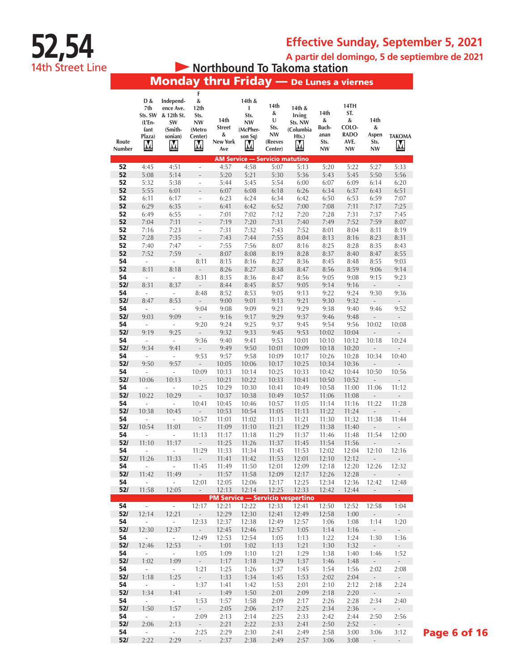**A partir del domingo, 5 de septiembre de 2021**

**• Northbound To Takoma station** 

**52,54**

14th Street Line

# Monday thru Friday — De Lunes a viernes

| Route<br>Number | D &<br>7th<br>Sts. SW<br>(L'En-<br>fant<br>Plaza)<br>M | Independ-<br>ence Ave.<br>& 12th St.<br>SW<br>(Smith-<br>sonian)<br>M | F<br>&<br>12th<br>Sts.<br><b>NW</b><br>(Metro<br>Center)<br>$\sum_{\text{meter}}$ | 14th<br><b>Street</b><br>&<br>New York<br>Ave | 14th &<br>ı<br>Sts.<br><b>NW</b><br>(McPher-<br>son Sq)<br>M | 14th<br>&<br>U<br>Sts.<br>NW<br>(Reeves<br>Center) | 14th &<br><b>Irving</b><br>Sts. NW<br>(Columbia<br>Hts.)<br>M | 14th<br>&<br>Buch-<br>anan<br>Sts.<br>NW | 14TH<br>ST.<br>&<br>COLO-<br><b>RADO</b><br>AVE.<br><b>NW</b> | 14th<br>&<br>Aspen<br>Sts.<br>NW  | <b>TAKOMA</b><br>M        |
|-----------------|--------------------------------------------------------|-----------------------------------------------------------------------|-----------------------------------------------------------------------------------|-----------------------------------------------|--------------------------------------------------------------|----------------------------------------------------|---------------------------------------------------------------|------------------------------------------|---------------------------------------------------------------|-----------------------------------|---------------------------|
|                 |                                                        |                                                                       |                                                                                   |                                               | <b>AM Service - Servicio matutino</b>                        |                                                    |                                                               |                                          |                                                               |                                   |                           |
| 52<br>52        | 4:45<br>5:08                                           | 4:51<br>5:14                                                          | $\overline{a}$<br>L.                                                              | 4:57<br>5:20                                  | 4:58<br>5:21                                                 | 5:07<br>5:30                                       | 5:13<br>5:36                                                  | 5:20<br>5:43                             | 5:22<br>5:45                                                  | 5:27<br>5:50                      | 5:33<br>5:56              |
| 52              | 5:32                                                   | 5:38                                                                  | $\frac{1}{2}$                                                                     | 5:44                                          | 5:45                                                         | 5:54                                               | 6:00                                                          | 6:07                                     | 6:09                                                          | 6:14                              | 6:20                      |
| 52              | 5:55                                                   | 6:01                                                                  |                                                                                   | 6:07                                          | 6:08                                                         | 6:18                                               | 6:26                                                          | 6:34                                     | 6:37                                                          | 6:43                              | 6:51                      |
| 52              | 6:11                                                   | 6:17                                                                  | ÷,                                                                                | 6:23                                          | 6:24                                                         | 6:34                                               | 6:42                                                          | 6:50                                     | 6:53                                                          | 6:59                              | 7:07                      |
| 52              | 6:29                                                   | 6:35                                                                  | $\overline{a}$                                                                    | 6:41                                          | 6:42                                                         | 6:52                                               | 7:00                                                          | 7:08                                     | 7:11                                                          | 7:17                              | 7:25                      |
| 52              | 6:49                                                   | 6:55                                                                  | ÷.                                                                                | 7:01                                          | 7:02                                                         | 7:12                                               | 7:20                                                          | 7:28                                     | 7:31                                                          | 7:37                              | 7:45                      |
| 52              | 7:04                                                   | 7:11                                                                  | ÷,                                                                                | 7:19                                          | 7:20                                                         | 7:31                                               | 7:40                                                          | 7:49                                     | 7:52                                                          | 7:59                              | 8:07                      |
| 52              | 7:16                                                   | 7:23                                                                  | ÷,                                                                                | 7:31                                          | 7:32                                                         | 7:43                                               | 7:52                                                          | 8:01                                     | 8:04                                                          | 8:11                              | 8:19                      |
| 52              | 7:28                                                   | 7:35                                                                  | $\overline{a}$                                                                    | 7:43                                          | 7:44                                                         | 7:55                                               | 8:04                                                          | 8:13                                     | 8:16                                                          | 8:23                              | 8:31                      |
| 52              | 7:40                                                   | 7:47                                                                  | ÷,                                                                                | 7:55                                          | 7:56                                                         | 8:07                                               | 8:16                                                          | 8:25                                     | 8:28                                                          | 8:35                              | 8:43                      |
| 52              | 7:52                                                   | 7:59                                                                  | $\overline{\phantom{a}}$                                                          | 8:07                                          | 8:08                                                         | 8:19                                               | 8:28                                                          | 8:37                                     | 8:40                                                          | 8:47                              | 8:55                      |
| 54              | $\Box$                                                 | $\Box$                                                                | 8:11                                                                              | 8:15                                          | 8:16                                                         | 8:27                                               | 8:36                                                          | 8:45                                     | 8:48                                                          | 8:55                              | 9:03                      |
| 52              | 8:11                                                   | 8:18                                                                  | $\frac{1}{2}$                                                                     | 8:26                                          | 8:27                                                         | 8:38                                               | 8:47                                                          | 8:56                                     | 8:59                                                          | 9:06                              | 9:14                      |
| 54              | $\overline{\phantom{a}}$                               | $\overline{\phantom{a}}$                                              | 8:31                                                                              | 8:35                                          | 8:36                                                         | 8:47                                               | 8:56                                                          | 9:05                                     | 9:08                                                          | 9:15                              | 9:23                      |
| 52/             | 8:31                                                   | 8:37                                                                  | $\overline{a}$                                                                    | 8:44                                          | 8:45                                                         | 8:57                                               | 9:05                                                          | 9:14                                     | 9:16                                                          | $\overline{\phantom{a}}$          | $\overline{a}$            |
| 54<br>52/       | $\overline{\phantom{a}}$<br>8:47                       | $\overline{\phantom{a}}$<br>8:53                                      | 8:48<br>$\overline{a}$                                                            | 8:52<br>9:00                                  | 8:53<br>9:01                                                 | 9:05<br>9:13                                       | 9:13<br>9:21                                                  | 9:22<br>9:30                             | 9:24<br>9:32                                                  | 9:30<br>$\overline{\phantom{a}}$  | 9:36<br>$\overline{a}$    |
| 54              | $\frac{1}{2}$                                          | $\overline{\phantom{a}}$                                              | 9:04                                                                              | 9:08                                          | 9:09                                                         | 9:21                                               | 9:29                                                          | 9:38                                     | 9:40                                                          | 9:46                              | 9:52                      |
| 52/             | 9:03                                                   | 9:09                                                                  | $\overline{\phantom{a}}$                                                          | 9:16                                          | 9:17                                                         | 9:29                                               | 9:37                                                          | 9:46                                     | 9:48                                                          | $\overline{\phantom{a}}$          | ÷.                        |
| 54              | ÷,                                                     | $\overline{\phantom{a}}$                                              | 9:20                                                                              | 9:24                                          | 9:25                                                         | 9:37                                               | 9:45                                                          | 9:54                                     | 9:56                                                          | 10:02                             | 10:08                     |
| 52/             | 9:19                                                   | 9:25                                                                  | $\overline{\phantom{a}}$                                                          | 9:32                                          | 9:33                                                         | 9:45                                               | 9:53                                                          | 10:02                                    | 10:04                                                         | $\overline{\phantom{a}}$          |                           |
| 54              | $\overline{\phantom{a}}$                               | $\overline{\phantom{a}}$                                              | 9:36                                                                              | 9:40                                          | 9:41                                                         | 9:53                                               | 10:01                                                         | 10:10                                    | 10:12                                                         | 10:18                             | 10:24                     |
| 52/             | 9:34                                                   | 9:41                                                                  | $\overline{\phantom{a}}$                                                          | 9:49                                          | 9:50                                                         | 10:01                                              | 10:09                                                         | 10:18                                    | 10:20                                                         | ÷,                                | ÷,                        |
| 54              | ä,                                                     | ÷,                                                                    | 9:53                                                                              | 9:57                                          | 9:58                                                         | 10:09                                              | 10:17                                                         | 10:26                                    | 10:28                                                         | 10:34                             | 10:40                     |
| 52/             | 9:50                                                   | 9:57                                                                  |                                                                                   | 10:05                                         | 10:06                                                        | 10:17                                              | 10:25                                                         | 10:34                                    | 10:36                                                         |                                   |                           |
| 54              | ÷,                                                     | ä,                                                                    | 10:09                                                                             | 10:13                                         | 10:14                                                        | 10:25                                              | 10:33                                                         | 10:42                                    | 10:44                                                         | 10:50                             | 10:56                     |
| 52/             | 10:06                                                  | 10:13                                                                 | $\qquad \qquad -$                                                                 | 10:21                                         | 10:22                                                        | 10:33                                              | 10:41                                                         | 10:50                                    | 10:52                                                         |                                   |                           |
| 54<br>52/       | ٠<br>10:22                                             | ÷,<br>10:29                                                           | 10:25                                                                             | 10:29<br>10:37                                | 10:30<br>10:38                                               | 10:41                                              | 10:49<br>10:57                                                | 10:58                                    | 11:00                                                         | 11:06                             | 11:12                     |
| 54              |                                                        | ÷,                                                                    | $\frac{1}{2}$<br>10:41                                                            | 10:45                                         | 10:46                                                        | 10:49<br>10:57                                     | 11:05                                                         | 11:06<br>11:14                           | 11:08<br>11:16                                                | $\overline{\phantom{m}}$<br>11:22 | 11:28                     |
| 52/             | 10:38                                                  | 10:45                                                                 | $\overline{\phantom{a}}$                                                          | 10:53                                         | 10:54                                                        | 11:05                                              | 11:13                                                         | 11:22                                    | 11:24                                                         | $\overline{\phantom{a}}$          | ÷,                        |
| 54              | $\overline{\phantom{a}}$                               | $\overline{\phantom{a}}$                                              | 10:57                                                                             | 11:01                                         | 11:02                                                        | 11:13                                              | 11:21                                                         | 11:30                                    | 11:32                                                         | 11:38                             | 11:44                     |
| 52/             | 10:54                                                  | 11:01                                                                 | $\overline{a}$                                                                    | 11:09                                         | 11:10                                                        | 11:21                                              | 11:29                                                         | 11:38                                    | 11:40                                                         | $\overline{\phantom{a}}$          | $\frac{1}{2}$             |
| 54              |                                                        | ÷,                                                                    | 11:13                                                                             | 11:17                                         | 11:18                                                        | 11:29                                              | 11:37                                                         | 11:46                                    | 11:48                                                         | 11:54                             | 12:00                     |
| 52/             | 11:10                                                  | 11:17                                                                 | $\overline{a}$                                                                    | 11:25                                         | 11:26                                                        | 11:37                                              | 11:45                                                         | 11:54                                    | 11:56                                                         | $\overline{a}$                    |                           |
| 54              | ÷,                                                     | ÷                                                                     | 11:29                                                                             | 11:33                                         | 11:34                                                        | 11:45                                              | 11:53                                                         | 12:02                                    | 12:04                                                         | 12:10                             | 12:16                     |
| 52/             | 11:26                                                  | 11:33                                                                 |                                                                                   | 11:41                                         | 11:42                                                        | 11:53                                              | 12:01                                                         | 12:10                                    | 12:12                                                         |                                   |                           |
| 54              |                                                        | ÷,                                                                    | 11:45                                                                             | 11:49                                         | 11:50                                                        | 12:01                                              | 12:09                                                         | 12:18                                    | 12:20                                                         | 12:26                             | 12:32                     |
| 52/             | 11:42<br>$\mathcal{L}$                                 | 11:49                                                                 |                                                                                   | 11:57                                         | 11:58                                                        | 12:09                                              | 12:17                                                         | 12:26                                    | 12:28                                                         |                                   |                           |
| 54<br>52/       | 11:58                                                  | $\overline{\phantom{a}}$<br>12:05                                     | 12:01<br>$\omega_{\rm{eff}}$                                                      | 12:05<br>12:13                                | 12:06<br>12:14                                               | 12:17<br>12:25                                     | 12:25<br>12:33                                                | 12:34<br>12:42                           | 12:36<br>12:44                                                | 12:42                             | 12:48<br>$\omega_{\rm c}$ |
|                 |                                                        |                                                                       |                                                                                   |                                               |                                                              |                                                    | <b>PM Service - Servicio vespertino</b>                       |                                          |                                                               | $\sim$                            |                           |
| 54              | $\sim 10^{-11}$                                        | $\omega_{\rm{eff}}$                                                   | 12:17                                                                             | 12:21                                         | 12:22                                                        | 12:33                                              | 12:41                                                         | 12:50                                    | 12:52                                                         | 12:58                             | 1:04                      |
| 52/             | 12:14                                                  | 12:21                                                                 | $\omega_{\rm{eff}}$                                                               | 12:29                                         | 12:30                                                        | 12:41                                              | 12:49                                                         | 12:58                                    | 1:00                                                          | $\mathcal{L}_{\mathcal{A}}$       | $\omega_{\rm{eff}}$       |
| 54              | $\mathcal{L}_{\mathcal{A}}$                            | $\mathbb{Z}^{\mathbb{Z}}$                                             | 12:33                                                                             | 12:37                                         | 12:38                                                        | 12:49                                              | 12:57                                                         | 1:06                                     | 1:08                                                          | 1:14                              | 1:20                      |
| 52/             | 12:30                                                  | 12:37                                                                 | $\omega_{\rm{eff}}$                                                               | 12:45                                         | 12:46                                                        | 12:57                                              | 1:05                                                          | 1:14                                     | 1:16                                                          | $\sim$                            | $\omega_{\rm{eff}}$       |
| 54              | $\omega_{\rm{eff}}$                                    | $\mathcal{L}_{\mathcal{A}}$                                           | 12:49                                                                             | 12:53                                         | 12:54                                                        | 1:05                                               | 1:13                                                          | 1:22                                     | 1:24                                                          | 1:30                              | 1:36                      |
| 52/             | 12:46                                                  | 12:53                                                                 | $\omega_{\rm{eff}}$                                                               | 1:01                                          | 1:02                                                         | 1:13                                               | 1:21                                                          | 1:30                                     | 1:32                                                          | $\sim$                            | $\omega_{\rm{eff}}$       |
| 54              | $\mathbb{Z}^2$                                         | $\omega$ .                                                            | 1:05                                                                              | 1:09                                          | 1:10                                                         | 1:21                                               | 1:29                                                          | 1:38                                     | 1:40                                                          | 1:46                              | 1:52                      |
| 52/             | 1:02                                                   | 1:09                                                                  | $\sim$                                                                            | 1:17                                          | 1:18                                                         | 1:29                                               | 1:37                                                          | 1:46                                     | 1:48                                                          | $\sim$                            | $\omega_{\rm{eff}}$       |
| 54              | $\omega$                                               | $\mathcal{L}_{\mathcal{A}}$<br>1:25                                   | 1:21                                                                              | 1:25                                          | 1:26                                                         | 1:37                                               | 1:45                                                          | 1:54                                     | 1:56                                                          | 2:02                              | 2:08                      |
| 52/<br>54       | 1:18<br>$\omega$                                       | $\mathcal{L}_{\mathcal{A}}$                                           | $\omega$<br>1:37                                                                  | 1:33<br>1:41                                  | 1:34<br>1:42                                                 | 1:45<br>1:53                                       | 1:53<br>2:01                                                  | 2:02<br>2:10                             | 2:04<br>2:12                                                  | $\sim$<br>2:18                    | $\omega_{\rm c}$<br>2:24  |
| 52/             | 1:34                                                   | 1:41                                                                  | $\sim$                                                                            | 1:49                                          | 1:50                                                         | 2:01                                               | 2:09                                                          | 2:18                                     | 2:20                                                          | $\sim$                            | $\omega$                  |
| 54              | $\sim$                                                 | $\mathbb{Z}^{\mathbb{Z}}$                                             | 1:53                                                                              | 1:57                                          | 1:58                                                         | 2:09                                               | 2:17                                                          | 2:26                                     | 2:28                                                          | 2:34                              | 2:40                      |
| 52/             | 1:50                                                   | 1:57                                                                  | $\sim$                                                                            | 2:05                                          | 2:06                                                         | 2:17                                               | 2:25                                                          | 2:34                                     | 2:36                                                          | $\sim$                            | $\sim$                    |
| 54              | $\sim$                                                 | $\sim$                                                                | 2:09                                                                              | 2:13                                          | 2:14                                                         | 2:25                                               | 2:33                                                          | 2:42                                     | 2:44                                                          | 2:50                              | 2:56                      |
| 52/             | 2:06                                                   | 2:13                                                                  | $\sim$ $-$                                                                        | 2:21                                          | 2:22                                                         | 2:33                                               | 2:41                                                          | 2:50                                     | 2:52                                                          | $\sim$                            | $\sim$                    |
| 54              | $\sim$                                                 | $\mathcal{L}_{\mathcal{A}}$                                           | 2:25                                                                              | 2:29                                          | 2:30                                                         | 2:41                                               | 2:49                                                          | 2:58                                     | 3:00                                                          | 3:06                              | 3:12                      |
| 52/             | 2:22                                                   | 2:29                                                                  | $\sim$                                                                            | 2:37                                          | 2:38                                                         | 2:49                                               | 2:57                                                          | 3:06                                     | 3:08                                                          | $\sim$                            | $\sim$                    |

Page 6 of 16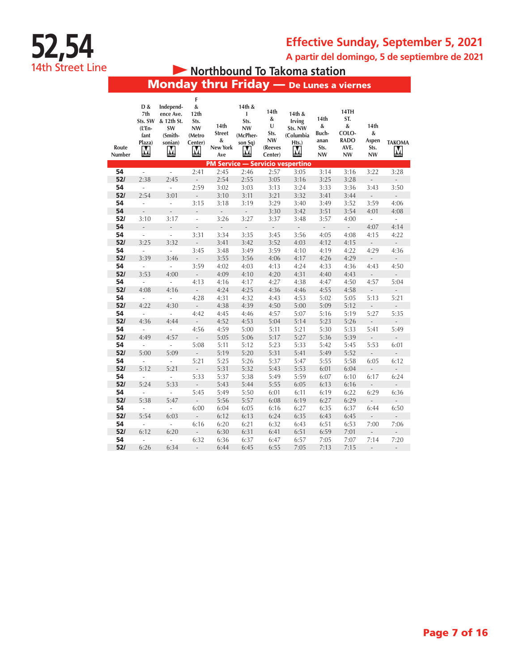**A partir del domingo, 5 de septiembre de 2021**

# **• Northbound To Takoma station**

# Monday thru Friday — De Lunes a viernes

**52,54**

14th Street Line

| $\&$<br>D &<br>Independ-<br>14th &<br>14th<br>12th<br>7th<br>T<br>14th &<br>ence Ave.<br>&<br>Sts.<br>Sts. SW<br>& 12th St.<br>Sts.<br>Irving<br>14th<br>U<br><b>NW</b><br><b>NW</b><br>Sts. NW<br>$(L'En -$<br>SW<br><b>Street</b><br>Sts.<br>(Smith-<br>(McPher-<br>(Columbia<br>fant<br>(Metro<br><b>NW</b><br>&<br>Plaza)<br>son Sq)<br>Hts.)<br>sonian)<br>Center)<br>Route<br>New York<br>(Reeves<br>M<br>M<br><u>M</u><br>M<br>M<br>Number<br>Ave<br>Center) | 14th<br>&<br>Buch-<br>anan<br>Sts.<br><b>NW</b> | 14TH<br>ST.<br>&<br>COLO-<br><b>RADO</b><br>AVE.<br><b>NW</b> | 14th<br>&<br>Aspen<br>Sts.<br><b>NW</b> | ТАКОМА<br>$\sum_{\text{model}}$  |
|---------------------------------------------------------------------------------------------------------------------------------------------------------------------------------------------------------------------------------------------------------------------------------------------------------------------------------------------------------------------------------------------------------------------------------------------------------------------|-------------------------------------------------|---------------------------------------------------------------|-----------------------------------------|----------------------------------|
| <b>PM Service - Servicio vespertino</b><br>2:57<br>54<br>÷.<br>L,<br>2:41<br>2:45<br>2:46                                                                                                                                                                                                                                                                                                                                                                           | 3:14                                            |                                                               |                                         |                                  |
| 3:05<br>2:55<br>52/<br>2:54<br>2:38<br>2:45<br>3:05<br>3:16                                                                                                                                                                                                                                                                                                                                                                                                         | 3:25                                            | 3:16<br>3:28                                                  | 3:22                                    | 3:28                             |
| 54<br>2:59<br>3:24<br>3:02<br>3:03<br>3:13<br>$\overline{\phantom{a}}$<br>$\overline{\phantom{a}}$                                                                                                                                                                                                                                                                                                                                                                  | 3:33                                            | 3:36                                                          | ÷,<br>3:43                              | 3:50                             |
| 52/<br>2:54<br>3:01<br>3:10<br>3:11<br>3:21<br>3:32<br>$\frac{1}{2}$                                                                                                                                                                                                                                                                                                                                                                                                | 3:41                                            | 3:44                                                          | $\overline{\phantom{a}}$                | $\overline{\phantom{a}}$         |
| 54<br>3:29<br>3:15<br>3:18<br>3:19<br>3:40<br>$\overline{\phantom{a}}$<br>$\overline{\phantom{a}}$                                                                                                                                                                                                                                                                                                                                                                  | 3:49                                            | 3:52                                                          | 3:59                                    | 4:06                             |
| 54<br>3:30<br>3:42<br>$\overline{a}$<br>$\frac{1}{2}$<br>$\overline{a}$<br>$\overline{a}$<br>L.                                                                                                                                                                                                                                                                                                                                                                     | 3:51                                            | 3:54                                                          | 4:01                                    | 4:08                             |
| 52/<br>3:10<br>3:26<br>3:27<br>3:37<br>3:48<br>3:17<br>$\overline{a}$                                                                                                                                                                                                                                                                                                                                                                                               | 3:57                                            | 4:00                                                          | $\overline{\phantom{a}}$                | ÷,                               |
| 54<br>L,<br>÷,<br>$\overline{a}$<br>$\overline{a}$<br>$\overline{\phantom{a}}$<br>÷,                                                                                                                                                                                                                                                                                                                                                                                | $\frac{1}{2}$                                   | L,                                                            | 4:07                                    | 4:14                             |
| 54<br>3:31<br>3:56<br>3:34<br>3:35<br>3:45<br>$\overline{\phantom{a}}$<br>$\overline{\phantom{a}}$                                                                                                                                                                                                                                                                                                                                                                  | 4:05                                            | 4:08                                                          | 4:15                                    | 4:22                             |
| 52/<br>3:25<br>3:32<br>3:52<br>3:41<br>3:42<br>4:03<br>L,                                                                                                                                                                                                                                                                                                                                                                                                           | 4:12                                            | 4:15                                                          | $\overline{\phantom{a}}$                | ÷,                               |
| 54<br>3:45<br>3:48<br>3:49<br>3:59<br>4:10<br>$\Box$<br>$\overline{\phantom{a}}$                                                                                                                                                                                                                                                                                                                                                                                    | 4:19                                            | 4:22                                                          | 4:29                                    | 4:36                             |
| 52/<br>3:55<br>3:56<br>4:06<br>3:39<br>3:46<br>4:17<br>$\overline{a}$                                                                                                                                                                                                                                                                                                                                                                                               | 4:26                                            | 4:29                                                          | $\overline{\phantom{a}}$                | $\frac{1}{2}$                    |
| 54<br>3:59<br>4:02<br>4:03<br>4:24<br>$\frac{1}{2}$<br>4:13<br>$\bar{\phantom{a}}$                                                                                                                                                                                                                                                                                                                                                                                  | 4:33                                            | 4:36                                                          | 4:43                                    | 4:50                             |
| 52/<br>4:31<br>3:53<br>4:00<br>4:09<br>4:10<br>4:20<br>$\overline{a}$                                                                                                                                                                                                                                                                                                                                                                                               | 4:40                                            | 4:43                                                          | $\overline{\phantom{a}}$                | $\frac{1}{2}$                    |
| 54<br>4:27<br>4:13<br>4:16<br>4:17<br>4:38<br>$\overline{\phantom{a}}$<br>$\sim$                                                                                                                                                                                                                                                                                                                                                                                    | 4:47                                            | 4:50                                                          | 4:57                                    | 5:04                             |
| 52/<br>4:08<br>4:16<br>4:24<br>4:25<br>4:36<br>4:46<br>÷,                                                                                                                                                                                                                                                                                                                                                                                                           | 4:55                                            | 4:58                                                          | $\overline{\phantom{a}}$                | $\overline{\phantom{a}}$         |
| 54<br>4:28<br>4:31<br>4:32<br>4:53<br>4:43<br>$\omega$<br>$\overline{\phantom{a}}$                                                                                                                                                                                                                                                                                                                                                                                  | 5:02                                            | 5:05                                                          | 5:13                                    | 5:21                             |
| 52/<br>4:39<br>4:22<br>4:30<br>4:38<br>4:50<br>5:00<br>$\overline{a}$                                                                                                                                                                                                                                                                                                                                                                                               | 5:09                                            | 5:12                                                          | $\overline{a}$                          | $\overline{a}$                   |
| 54<br>4:42<br>4:45<br>4:46<br>4:57<br>5:07<br>i,<br>$\overline{\phantom{a}}$                                                                                                                                                                                                                                                                                                                                                                                        | 5:16                                            | 5:19                                                          | 5:27                                    | 5:35                             |
| 52/<br>4:36<br>4:52<br>4:53<br>5:04<br>5:14<br>4:44<br>$\frac{1}{2}$                                                                                                                                                                                                                                                                                                                                                                                                | 5:23                                            | 5:26                                                          | $\overline{\phantom{a}}$                | $\overline{a}$                   |
| 54<br>4:56<br>4:59<br>5:00<br>5:11<br>5:21<br>$\mathbf{r}$<br>$\overline{\phantom{a}}$                                                                                                                                                                                                                                                                                                                                                                              | 5:30                                            | 5:33                                                          | 5:41                                    | 5:49                             |
| 52/<br>4:57<br>5:05<br>5:06<br>5:17<br>5:27<br>4:49<br>$\overline{\phantom{a}}$                                                                                                                                                                                                                                                                                                                                                                                     | 5:36                                            | 5:39                                                          | $\overline{\phantom{a}}$                | ÷,                               |
| 54<br>5:33<br>5:08<br>5:11<br>5:12<br>5:23<br>$\Box$<br>$\overline{\phantom{a}}$                                                                                                                                                                                                                                                                                                                                                                                    | 5:42                                            | 5:45                                                          | 5:53                                    | 6:01                             |
| 52/<br>5:19<br>5:20<br>5:31<br>5:41<br>5:00<br>5:09<br>$\overline{a}$                                                                                                                                                                                                                                                                                                                                                                                               | 5:49                                            | 5:52                                                          | $\frac{1}{2}$                           | $\overline{a}$                   |
| 54<br>5:21<br>5:25<br>5:26<br>5:37<br>5:47<br>ä,<br>$\overline{\phantom{a}}$                                                                                                                                                                                                                                                                                                                                                                                        | 5:55                                            | 5:58                                                          | 6:05                                    | 6:12                             |
| 52/<br>5:21<br>5:31<br>5:32<br>5:53<br>5:12<br>5:43<br>L,                                                                                                                                                                                                                                                                                                                                                                                                           | 6:01                                            | 6:04                                                          | L,                                      | $\frac{1}{2}$                    |
| 54<br>5:37<br>5:38<br>5:33<br>5:49<br>5:59<br>÷.<br>÷.                                                                                                                                                                                                                                                                                                                                                                                                              | 6:07                                            | 6:10                                                          | 6:17                                    | 6:24                             |
| 52/<br>5:24<br>5:55<br>5:33<br>5:43<br>5:44<br>6:05<br>$\mathbb{L}$                                                                                                                                                                                                                                                                                                                                                                                                 | 6:13                                            | 6:16                                                          | $\overline{\phantom{a}}$                | $\overline{a}$                   |
| 54<br>5:45<br>5:49<br>5:50<br>6:11<br>$\frac{1}{2}$<br>6:01<br>$\overline{\phantom{a}}$<br>52/                                                                                                                                                                                                                                                                                                                                                                      | 6:19                                            | 6:22                                                          | 6:29                                    | 6:36                             |
| 5:38<br>5:47<br>5:56<br>5:57<br>6:08<br>6:19<br>$\overline{a}$<br>54<br>6:04<br>6:05<br>6:16<br>6:27<br>6:00<br>$\overline{\phantom{a}}$<br>$\overline{\phantom{a}}$                                                                                                                                                                                                                                                                                                | 6:27<br>6:35                                    | 6:29<br>6:37                                                  | $\overline{\phantom{a}}$<br>6:44        | $\overline{\phantom{m}}$<br>6:50 |
| 52/<br>5:54<br>6:03<br>6:12<br>6:13<br>6:24<br>6:35<br>$\overline{a}$                                                                                                                                                                                                                                                                                                                                                                                               | 6:43                                            | 6:45                                                          | $\frac{1}{2}$                           |                                  |
| 54<br>6:16<br>6:20<br>6:21<br>6:32<br>6:43<br>ä,<br>$\overline{\phantom{a}}$                                                                                                                                                                                                                                                                                                                                                                                        | 6:51                                            | 6:53                                                          | 7:00                                    | 7:06                             |
| 52/<br>6:31<br>6:51<br>6:12<br>6:20<br>6:30<br>6:41<br>$\frac{1}{2}$                                                                                                                                                                                                                                                                                                                                                                                                | 6:59                                            | 7:01                                                          | $\blacksquare$                          | $\overline{\phantom{a}}$         |
| 54<br>6:32<br>6:36<br>6:37<br>6:47<br>6:57<br>$\Box$<br>$\overline{\phantom{a}}$                                                                                                                                                                                                                                                                                                                                                                                    | 7:05                                            | 7:07                                                          | 7:14                                    | 7:20                             |
|                                                                                                                                                                                                                                                                                                                                                                                                                                                                     |                                                 |                                                               |                                         |                                  |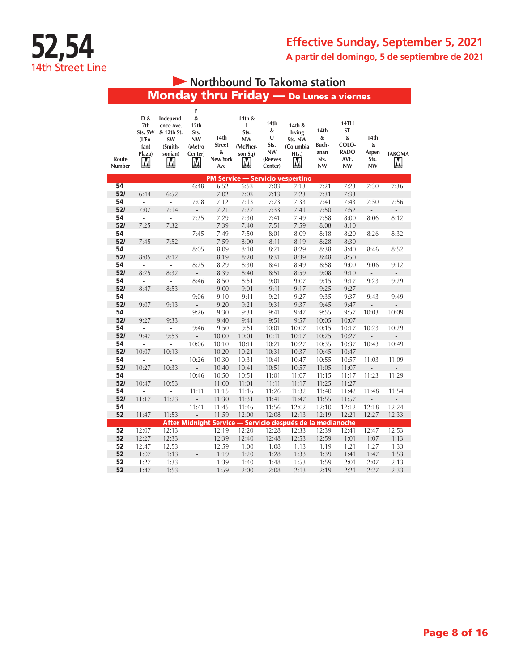## **Effective Sunday, September 5, 2021 A partir del domingo, 5 de septiembre de 2021**

# **• Northbound To Takoma station**

Monday thru Friday — De Lunes a viernes

| Route<br><b>Number</b> | D &<br>7th<br>Sts. SW<br>(L'En-<br>fant<br>Plaza)<br>M | Independ-<br>ence Ave.<br>& 12th St.<br>SW<br>(Smith-<br>sonian)<br>Ņ | F<br>&<br>12th<br>Sts.<br><b>NW</b><br>(Metro<br>Center)<br>M | 14 <sub>th</sub><br><b>Street</b><br>&<br><b>New York</b><br>Ave | 14th &<br>ı<br>Sts.<br><b>NW</b><br>(McPher-<br>son Sq)<br>Ņ | 14th<br>&<br>U<br>Sts.<br>NW<br>(Reeves<br>Center) | 14th &<br><b>Irving</b><br>Sts. NW<br>(Columbia<br>Hts.)<br>M | 14th<br>&<br>Buch-<br>anan<br>Sts.<br><b>NW</b> | 14TH<br>ST.<br>&<br>COLO-<br><b>RADO</b><br>AVE.<br><b>NW</b> | 14 <sub>th</sub><br>&<br>Aspen<br>Sts.<br><b>NW</b> | <b>TAKOMA</b><br>M |
|------------------------|--------------------------------------------------------|-----------------------------------------------------------------------|---------------------------------------------------------------|------------------------------------------------------------------|--------------------------------------------------------------|----------------------------------------------------|---------------------------------------------------------------|-------------------------------------------------|---------------------------------------------------------------|-----------------------------------------------------|--------------------|
|                        |                                                        |                                                                       |                                                               |                                                                  |                                                              |                                                    | <b>PM Service - Servicio vespertino</b>                       |                                                 |                                                               |                                                     |                    |
| 54                     | ÷,                                                     | $\overline{a}$                                                        | 6:48                                                          | 6:52                                                             | 6:53                                                         | 7:03                                               | 7:13                                                          | 7:21                                            | 7:23                                                          | 7:30                                                | 7:36               |
| 52/                    | 6:44                                                   | 6:52                                                                  |                                                               | 7:02                                                             | 7:03                                                         | 7:13                                               | 7:23                                                          | 7:31                                            | 7:33                                                          |                                                     |                    |
| 54                     | ä,                                                     | $\overline{\phantom{a}}$                                              | 7:08                                                          | 7:12                                                             | 7:13                                                         | 7:23                                               | 7:33                                                          | 7:41                                            | 7:43                                                          | 7:50                                                | 7:56               |
| 52/                    | 7:07                                                   | 7:14                                                                  | $\frac{1}{2}$                                                 | 7:21                                                             | 7:22                                                         | 7:33                                               | 7:41                                                          | 7:50                                            | 7:52                                                          | $\frac{1}{2}$                                       | $\frac{1}{2}$      |
| 54                     | ÷,                                                     | $\overline{\phantom{a}}$                                              | 7:25                                                          | 7:29                                                             | 7:30                                                         | 7:41                                               | 7:49                                                          | 7:58                                            | 8:00                                                          | 8:06                                                | 8:12               |
| 52/<br>54              | 7:25                                                   | 7:32<br>L.                                                            |                                                               | 7:39                                                             | 7:40                                                         | 7:51                                               | 7:59                                                          | 8:08                                            | 8:10                                                          | $\overline{a}$                                      | L                  |
| 52/                    | L.<br>7:45                                             | 7:52                                                                  | 7:45                                                          | 7:49<br>7:59                                                     | 7:50<br>8:00                                                 | 8:01<br>8:11                                       | 8:09<br>8:19                                                  | 8:18<br>8:28                                    | 8:20<br>8:30                                                  | 8:26                                                | 8:32               |
| 54                     | ä,                                                     | $\overline{a}$                                                        | $\overline{\phantom{a}}$<br>8:05                              | 8:09                                                             | 8:10                                                         | 8:21                                               | 8:29                                                          | 8:38                                            | 8:40                                                          | $\frac{1}{2}$<br>8:46                               | ÷,<br>8:52         |
| 52/                    | 8:05                                                   | 8:12                                                                  | $\overline{\phantom{m}}$                                      | 8:19                                                             | 8:20                                                         | 8:31                                               | 8:39                                                          | 8:48                                            | 8:50                                                          | $\overline{a}$                                      | $\overline{a}$     |
| 54                     | L.                                                     | ÷,                                                                    | 8:25                                                          | 8:29                                                             | 8:30                                                         | 8:41                                               | 8:49                                                          | 8:58                                            | 9:00                                                          | 9:06                                                | 9:12               |
| 52/                    | 8:25                                                   | 8:32                                                                  | $\frac{1}{2}$                                                 | 8:39                                                             | 8:40                                                         | 8:51                                               | 8:59                                                          | 9:08                                            | 9:10                                                          | $\frac{1}{2}$                                       | $\frac{1}{2}$      |
| 54                     | $\overline{\phantom{a}}$                               | $\overline{\phantom{a}}$                                              | 8:46                                                          | 8:50                                                             | 8:51                                                         | 9:01                                               | 9:07                                                          | 9:15                                            | 9:17                                                          | 9:23                                                | 9:29               |
| 52/                    | 8:47                                                   | 8:53                                                                  | $\overline{a}$                                                | 9:00                                                             | 9:01                                                         | 9:11                                               | 9:17                                                          | 9:25                                            | 9:27                                                          | $\overline{a}$                                      | $\overline{a}$     |
| 54                     | ÷,                                                     | $\overline{a}$                                                        | 9:06                                                          | 9:10                                                             | 9:11                                                         | 9:21                                               | 9:27                                                          | 9:35                                            | 9:37                                                          | 9:43                                                | 9:49               |
| 52/                    | 9:07                                                   | 9:13                                                                  | $\overline{\phantom{0}}$                                      | 9:20                                                             | 9:21                                                         | 9:31                                               | 9:37                                                          | 9:45                                            | 9:47                                                          | $\overline{a}$                                      | L                  |
| 54                     | $\overline{a}$                                         | $\overline{a}$                                                        | 9:26                                                          | 9:30                                                             | 9:31                                                         | 9:41                                               | 9:47                                                          | 9:55                                            | 9:57                                                          | 10:03                                               | 10:09              |
| 52/                    | 9:27                                                   | 9:33                                                                  | $\overline{a}$                                                | 9:40                                                             | 9:41                                                         | 9:51                                               | 9:57                                                          | 10:05                                           | 10:07                                                         |                                                     |                    |
| 54                     | $\overline{\phantom{a}}$                               | $\overline{\phantom{a}}$                                              | 9:46                                                          | 9:50                                                             | 9:51                                                         | 10:01                                              | 10:07                                                         | 10:15                                           | 10:17                                                         | 10:23                                               | 10:29              |
| 52/                    | 9:47                                                   | 9:53                                                                  | $\frac{1}{2}$                                                 | 10:00                                                            | 10:01                                                        | 10:11                                              | 10:17                                                         | 10:25                                           | 10:27                                                         | $\frac{1}{2}$                                       | L                  |
| 54                     | $\overline{\phantom{a}}$                               | i,                                                                    | 10:06                                                         | 10:10                                                            | 10:11                                                        | 10:21                                              | 10:27                                                         | 10:35                                           | 10:37                                                         | 10:43                                               | 10:49              |
| 52/                    | 10:07                                                  | 10:13                                                                 | $\overline{a}$                                                | 10:20                                                            | 10:21                                                        | 10:31                                              | 10:37                                                         | 10:45                                           | 10:47                                                         | $\overline{a}$                                      |                    |
| 54                     |                                                        | $\overline{a}$                                                        | 10:26                                                         | 10:30                                                            | 10:31                                                        | 10:41                                              | 10:47                                                         | 10:55                                           | 10:57                                                         | 11:03                                               | 11:09              |
| 52/                    | 10:27                                                  | 10:33                                                                 | $\overline{a}$                                                | 10:40                                                            | 10:41                                                        | 10:51                                              | 10:57                                                         | 11:05                                           | 11:07                                                         |                                                     |                    |
| 54                     | L.                                                     | $\overline{a}$                                                        | 10:46                                                         | 10:50                                                            | 10:51                                                        | 11:01                                              | 11:07                                                         | 11:15                                           | 11:17                                                         | 11:23                                               | 11:29              |
| 52/                    | 10:47                                                  | 10:53                                                                 |                                                               | 11:00                                                            | 11:01                                                        | 11:11                                              | 11:17                                                         | 11:25                                           | 11:27                                                         | $\overline{a}$                                      |                    |
| 54                     | ÷.                                                     | L.                                                                    | 11:11                                                         | 11:15                                                            | 11:16                                                        | 11:26                                              | 11:32                                                         | 11:40                                           | 11:42                                                         | 11:48                                               | 11:54              |
| 52/                    | 11:17                                                  | 11:23                                                                 | $\overline{a}$                                                | 11:30                                                            | 11:31                                                        | 11:41                                              | 11:47                                                         | 11:55                                           | 11:57                                                         | L.                                                  |                    |
| 54                     |                                                        | $\overline{a}$                                                        | 11:41                                                         | 11:45                                                            | 11:46                                                        | 11:56                                              | 12:02                                                         | 12:10                                           | 12:12                                                         | 12:18                                               | 12:24              |
| 52                     | 11:47                                                  | 11:53                                                                 | $\qquad \qquad \blacksquare$                                  | 11:59                                                            | 12:00                                                        | 12:08                                              | 12:13                                                         | 12:19                                           | 12:21                                                         | 12:27                                               | 12:33              |
|                        |                                                        |                                                                       |                                                               |                                                                  |                                                              |                                                    | After Midnight Service - Servicio después de la medianoche    |                                                 |                                                               |                                                     |                    |
| 52                     | 12:07                                                  | 12:13                                                                 | $\overline{a}$                                                | 12:19                                                            | 12:20                                                        | 12:28                                              | 12:33                                                         | 12:39                                           | 12:41                                                         | 12:47                                               | 12:53              |
| 52                     | 12:27                                                  | 12:33                                                                 | $\overline{a}$                                                | 12:39                                                            | 12:40                                                        | 12:48                                              | 12:53                                                         | 12:59                                           | 1:01                                                          | 1:07                                                | 1:13               |
| 52<br>52               | 12:47                                                  | 12:53                                                                 | ÷,<br>$\overline{a}$                                          | 12:59                                                            | 1:00                                                         | 1:08                                               | 1:13                                                          | 1:19                                            | 1:21                                                          | 1:27                                                | 1:33               |
| 52                     | 1:07<br>1:27                                           | 1:13<br>1:33                                                          | L,                                                            | 1:19<br>1:39                                                     | 1:20<br>1:40                                                 | 1:28<br>1:48                                       | 1:33<br>1:53                                                  | 1:39<br>1:59                                    | 1:41<br>2:01                                                  | 1:47<br>2:07                                        | 1:53<br>2:13       |
| 52                     | 1:47                                                   | 1:53                                                                  | L,                                                            | 1:59                                                             | 2:00                                                         | 2:08                                               | 2:13                                                          | 2:19                                            | 2:21                                                          | 2:27                                                | 2:33               |
|                        |                                                        |                                                                       |                                                               |                                                                  |                                                              |                                                    |                                                               |                                                 |                                                               |                                                     |                    |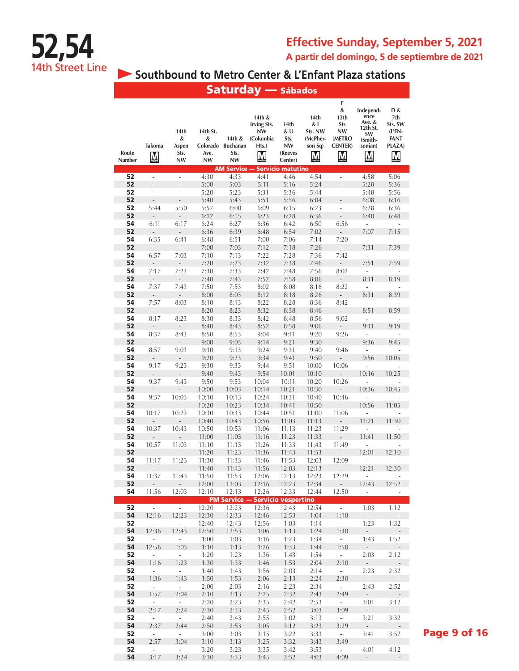

## **Effective Sunday, September 5, 2021 A partir del domingo, 5 de septiembre de 2021**

**Southbound to Metro Center & L'Enfant Plaza stations** 

|                 |                                          |                                         |                                                |                                                                       | <b>Saturday</b> — Sábados                                            |                                                                                    |                                                    |                                                                                         |                                                                          |                                                                         |
|-----------------|------------------------------------------|-----------------------------------------|------------------------------------------------|-----------------------------------------------------------------------|----------------------------------------------------------------------|------------------------------------------------------------------------------------|----------------------------------------------------|-----------------------------------------------------------------------------------------|--------------------------------------------------------------------------|-------------------------------------------------------------------------|
| Route<br>Number | <b>Takoma</b><br>$\overline{\mathsf{M}}$ | 14th<br>&<br>Aspen<br>Sts.<br><b>NW</b> | 14th St.<br>&<br>Colorado<br>Ave.<br><b>NW</b> | 14th &<br><b>Buchanan</b><br>Sts.<br><b>NW</b><br><b>AM Service -</b> | 14th &<br><b>Irving Sts.</b><br><b>NW</b><br>(Columbia<br>Hts.)<br>M | 14th<br>& U<br>Sts.<br><b>NW</b><br>(Reeves<br>Center)<br><b>Servicio matutino</b> | 14th<br>& I<br>Sts. NW<br>(McPher-<br>son Sq)<br>M | F<br>&<br>12 <sub>th</sub><br><b>Sts</b><br><b>NW</b><br>(METRO<br><b>CENTER</b> )<br>M | Independ-<br>ence<br>Ave. &<br>12th St.<br>SW<br>(Smith-<br>sonian)<br>M | D &<br>7th<br>Sts. SW<br>$(L'EN -$<br><b>FANT</b><br>PLAZA)<br>$\bf{M}$ |
| 52              | $\overline{a}$                           | ä,                                      | 4:30                                           | 4:33                                                                  | 4:41                                                                 | 4:46                                                                               | 4:54                                               | ÷,                                                                                      | 4:58                                                                     | 5:06                                                                    |
| 52              | $\overline{a}$                           | $\overline{a}$                          | 5:00                                           | 5:03                                                                  | 5:11                                                                 | 5:16                                                                               | 5:24                                               | $\overline{a}$                                                                          | 5:28                                                                     | 5:36                                                                    |
| 52              | i,                                       | ÷,                                      | 5:20                                           | 5:23                                                                  | 5:31                                                                 | 5:36                                                                               | 5:44                                               | ÷,                                                                                      | 5:48                                                                     | 5:56                                                                    |
| 52              | $\overline{a}$                           | $\overline{a}$                          | 5:40                                           | 5:43                                                                  | 5:51                                                                 | 5:56                                                                               | 6:04                                               |                                                                                         | 6:08                                                                     | 6:16                                                                    |
| 52              | 5:44                                     | 5:50                                    | 5:57                                           | 6:00                                                                  | 6:09                                                                 | 6:15                                                                               | 6:23                                               | ÷                                                                                       | 6:28                                                                     | 6:36                                                                    |
| 52<br>54        | $\overline{a}$<br>6:11                   | Ĭ.<br>6:17                              | 6:12<br>6:24                                   | 6:15<br>6:27                                                          | 6:23<br>6:36                                                         | 6:28<br>6:42                                                                       | 6:36                                               | $\overline{a}$<br>6:56                                                                  | 6:40<br>÷,                                                               | 6:48                                                                    |
| 52              | L.                                       |                                         | 6:36                                           | 6:39                                                                  | 6:48                                                                 | 6:54                                                                               | 6:50<br>7:02                                       | $\overline{a}$                                                                          | 7:07                                                                     | 7:15                                                                    |
| 54              | 6:35                                     | 6:41                                    | 6:48                                           | 6:51                                                                  | 7:00                                                                 | 7:06                                                                               | 7:14                                               | 7:20                                                                                    |                                                                          |                                                                         |
| 52              | L,                                       |                                         | 7:00                                           | 7:03                                                                  | 7:12                                                                 | 7:18                                                                               | 7:26                                               | L,                                                                                      | 7:31                                                                     | 7:39                                                                    |
| 54              | 6:57                                     | 7:03                                    | 7:10                                           | 7:13                                                                  | 7:22                                                                 | 7:28                                                                               | 7:36                                               | 7:42                                                                                    |                                                                          |                                                                         |
| 52              | $\overline{\phantom{m}}$                 | $\overline{\phantom{a}}$                | 7:20                                           | 7:23                                                                  | 7:32                                                                 | 7:38                                                                               | 7:46                                               | $\overline{\phantom{m}}$                                                                | 7:51                                                                     | 7:59                                                                    |
| 54              | 7:17                                     | 7:23                                    | 7:30                                           | 7:33                                                                  | 7:42                                                                 | 7:48                                                                               | 7:56                                               | 8:02                                                                                    | ÷,                                                                       |                                                                         |
| 52<br>54        | ÷,<br>7:37                               | $\frac{1}{2}$<br>7:43                   | 7:40<br>7:50                                   | 7:43<br>7:53                                                          | 7:52<br>8:02                                                         | 7:58<br>8:08                                                                       | 8:06<br>8:16                                       | ÷,<br>8:22                                                                              | 8:11<br>ä,                                                               | 8:19                                                                    |
| 52              | $\overline{a}$                           |                                         | 8:00                                           | 8:03                                                                  | 8:12                                                                 | 8:18                                                                               | 8:26                                               | $\overline{a}$                                                                          | 8:31                                                                     | 8:39                                                                    |
| 54              | 7:57                                     | 8:03                                    | 8:10                                           | 8:13                                                                  | 8:22                                                                 | 8:28                                                                               | 8:36                                               | 8:42                                                                                    | ä,                                                                       |                                                                         |
| 52              | Ĭ.                                       |                                         | 8:20                                           | 8:23                                                                  | 8:32                                                                 | 8:38                                                                               | 8:46                                               |                                                                                         | 8:51                                                                     | 8:59                                                                    |
| 54              | 8:17                                     | 8:23                                    | 8:30                                           | 8:33                                                                  | 8:42                                                                 | 8:48                                                                               | 8:56                                               | 9:02                                                                                    | ä,                                                                       |                                                                         |
| 52              | $\overline{a}$                           |                                         | 8:40                                           | 8:43                                                                  | 8:52                                                                 | 8:58                                                                               | 9:06                                               | $\overline{\phantom{m}}$                                                                | 9:11                                                                     | 9:19                                                                    |
| 54<br>52        | 8:37<br>$\frac{1}{2}$                    | 8:43<br>$\overline{a}$                  | 8:50<br>9:00                                   | 8:53<br>9:03                                                          | 9:04<br>9:14                                                         | 9:11<br>9:21                                                                       | 9:20<br>9:30                                       | 9:26<br>$\frac{1}{2}$                                                                   | ä,<br>9:36                                                               | 9:45                                                                    |
| 54              | 8:57                                     | 9:03                                    | 9:10                                           | 9:13                                                                  | 9:24                                                                 | 9:31                                                                               | 9:40                                               | 9:46                                                                                    |                                                                          |                                                                         |
| 52              | $\overline{a}$                           | $\overline{a}$                          | 9:20                                           | 9:23                                                                  | 9:34                                                                 | 9:41                                                                               | 9:50                                               | $\overline{a}$                                                                          | 9:56                                                                     | 10:05                                                                   |
| 54              | 9:17                                     | 9:23                                    | 9:30                                           | 9:33                                                                  | 9:44                                                                 | 9:51                                                                               | 10:00                                              | 10:06                                                                                   |                                                                          |                                                                         |
| 52              | $\frac{1}{2}$                            | L,                                      | 9:40                                           | 9:43                                                                  | 9:54                                                                 | 10:01                                                                              | 10:10                                              |                                                                                         | 10:16                                                                    | 10:25                                                                   |
| 54<br>52        | 9:37<br>Ē,                               | 9:43<br>L,                              | 9:50                                           | 9:53                                                                  | 10:04                                                                | 10:11                                                                              | 10:20                                              | 10:26                                                                                   | 10:36                                                                    | 10:45                                                                   |
| 54              | 9:57                                     | 10:03                                   | 10:00<br>10:10                                 | 10:03<br>10:13                                                        | 10:14<br>10:24                                                       | 10:21<br>10:31                                                                     | 10:30<br>10:40                                     | 10:46                                                                                   |                                                                          |                                                                         |
| 52              |                                          |                                         | 10:20                                          | 10:23                                                                 | 10:34                                                                | 10:41                                                                              | 10:50                                              |                                                                                         | 10:56                                                                    | 11:05                                                                   |
| 54              | 10:17                                    | 10:23                                   | 10:30                                          | 10:33                                                                 | 10:44                                                                | 10:51                                                                              | 11:00                                              | 11:06                                                                                   |                                                                          |                                                                         |
| 52              | $\overline{a}$                           | $\overline{a}$                          | 10:40                                          | 10:43                                                                 | 10:56                                                                | 11:03                                                                              | 11:13                                              | $\overline{a}$                                                                          | 11:21                                                                    | 11:30                                                                   |
| 54              | 10:37                                    | 10:43                                   | 10:50                                          | 10:53                                                                 | 11:06                                                                | 11:13                                                                              | 11:23                                              | 11:29                                                                                   |                                                                          |                                                                         |
| 52<br>54        | 10:57                                    | 11:03                                   | 11:00<br>11:10                                 | 11:03<br>11:13                                                        | 11:16<br>11:26                                                       | 11:23<br>11:33                                                                     | 11:33<br>11:43                                     | 11:49                                                                                   | 11:41                                                                    | 11:50                                                                   |
| 52              |                                          |                                         | 11:20                                          | 11:23                                                                 | 11:36                                                                | 11:43                                                                              | 11:53                                              |                                                                                         | 12:01                                                                    | 12:10                                                                   |
| 54              | 11:17                                    | 11:23                                   | 11:30                                          | 11:33                                                                 | 11:46                                                                | 11:53                                                                              | 12:03                                              | 12:09                                                                                   | i.                                                                       |                                                                         |
| 52              | $\sim$                                   | $\sim$                                  | 11:40                                          | 11:43                                                                 | 11:56                                                                | 12:03                                                                              | 12:13                                              | $\sim 10^7$                                                                             | 12:21                                                                    | 12:30                                                                   |
| 54              | 11:37                                    | 11:43                                   | 11:50                                          | 11:53                                                                 | 12:06                                                                | 12:13                                                                              | 12:23                                              | 12:29                                                                                   | $\overline{\phantom{a}}$                                                 |                                                                         |
| 52<br>54        | 11:56                                    | 12:03                                   | 12:00<br>12:10                                 | 12:03<br>12:13                                                        | 12:16<br>12:26                                                       | 12:23<br>12:33                                                                     | 12:34<br>12:44                                     | $\overline{\phantom{a}}$<br>12:50                                                       | 12:43<br>$\mathcal{L}_{\mathcal{A}}$                                     | 12:52<br>÷,                                                             |
|                 |                                          |                                         |                                                |                                                                       | <b>PM Service - Servicio vespertino</b>                              |                                                                                    |                                                    |                                                                                         |                                                                          |                                                                         |
| 52              | $\sim 100$                               | $\sim 10^{-11}$                         | 12:20                                          | 12:23                                                                 | 12:36                                                                | 12:43                                                                              | 12:54                                              | $\sim$                                                                                  | 1:03                                                                     | 1:12                                                                    |
| 54              | 12:16                                    | 12:23                                   | 12:30                                          | 12:33                                                                 | 12:46                                                                | 12:53                                                                              | 1:04                                               | 1:10                                                                                    | $\overline{\phantom{a}}$                                                 |                                                                         |
| 52              | $\overline{\phantom{a}}$                 | $\mathcal{L}_{\mathcal{A}}$             | 12:40                                          | 12:43                                                                 | 12:56                                                                | 1:03                                                                               | 1:14                                               | $\omega$                                                                                | 1:23                                                                     | 1:32                                                                    |
| 54<br>52        | 12:36<br>$\overline{\phantom{a}}$        | 12:43<br>$\sim$                         | 12:50<br>1:00                                  | 12:53<br>1:03                                                         | 1:06<br>1:16                                                         | 1:13<br>1:23                                                                       | 1:24<br>1:34                                       | 1:30<br>$\sim$                                                                          | $\sim$<br>1:43                                                           | 1:52                                                                    |
| 54              | 12:56                                    | 1:03                                    | 1:10                                           | 1:13                                                                  | 1:26                                                                 | 1:33                                                                               | 1:44                                               | 1:50                                                                                    | $\sim$                                                                   | $\overline{\phantom{m}}$                                                |
| 52              | $\overline{\phantom{a}}$                 | $\mathcal{L}_{\mathcal{A}}$             | 1:20                                           | 1:23                                                                  | 1:36                                                                 | 1:43                                                                               | 1:54                                               | $\sim$                                                                                  | 2:03                                                                     | 2:12                                                                    |
| 54              | 1:16                                     | 1:23                                    | 1:30                                           | 1:33                                                                  | 1:46                                                                 | 1:53                                                                               | 2:04                                               | 2:10                                                                                    | $\sim$                                                                   |                                                                         |
| 52              | $\overline{\phantom{a}}$                 | $\omega$                                | 1:40                                           | 1:43                                                                  | 1:56                                                                 | 2:03                                                                               | 2:14                                               | $\omega$                                                                                | 2:23                                                                     | 2:32                                                                    |
| 54<br>52        | 1:36<br>$\overline{\phantom{a}}$         | 1:43<br>$\overline{\phantom{a}}$        | 1:50<br>2:00                                   | 1:53<br>2:03                                                          | 2:06<br>2:16                                                         | 2:13<br>2:23                                                                       | 2:24<br>2:34                                       | 2:30<br>$\bar{\phantom{a}}$                                                             | $\sim$<br>2:43                                                           | 2:52                                                                    |
| 54              | 1:57                                     | 2:04                                    | 2:10                                           | 2:13                                                                  | 2:25                                                                 | 2:32                                                                               | 2:43                                               | 2:49                                                                                    | $\sim$                                                                   |                                                                         |
| 52              | ä,                                       | $\omega$                                | 2:20                                           | 2:23                                                                  | 2:35                                                                 | 2:42                                                                               | 2:53                                               | $\omega$                                                                                | 3:01                                                                     | 3:12                                                                    |
| 54              | 2:17                                     | 2:24                                    | 2:30                                           | 2:33                                                                  | 2:45                                                                 | 2:52                                                                               | 3:03                                               | 3:09                                                                                    | $\sim$                                                                   |                                                                         |
| 52              | $\omega$                                 | $\omega$ .                              | 2:40                                           | 2:43                                                                  | 2:55                                                                 | 3:02                                                                               | 3:13                                               | $\sim$                                                                                  | 3:21                                                                     | 3:32                                                                    |
| 54<br>52        | 2:37<br>$\overline{\phantom{a}}$         | 2:44<br>÷.                              | 2:50<br>3:00                                   | 2:53<br>3:03                                                          | 3:05<br>3:15                                                         | 3:12<br>3:22                                                                       | 3:23<br>3:33                                       | 3:29<br>$\sim$                                                                          | $\overline{\phantom{a}}$<br>3:41                                         | 3:52                                                                    |
| 54              | 2:57                                     | 3:04                                    | 3:10                                           | 3:13                                                                  | 3:25                                                                 | 3:32                                                                               | 3:43                                               | 3:49                                                                                    | $\sim$                                                                   |                                                                         |
| 52              | $\Box$                                   | $\overline{\phantom{a}}$                | 3:20                                           | 3:23                                                                  | 3:35                                                                 | 3:42                                                                               | 3:53                                               | $\sim$                                                                                  | 4:01                                                                     | 4:12                                                                    |
| 54              | 3:17                                     | 3:24                                    | 3:30                                           | 3:33                                                                  | 3:45                                                                 | 3:52                                                                               | 4:03                                               | 4:09                                                                                    | $\overline{\phantom{a}}$                                                 | $\overline{\phantom{a}}$                                                |

Page 9 of 16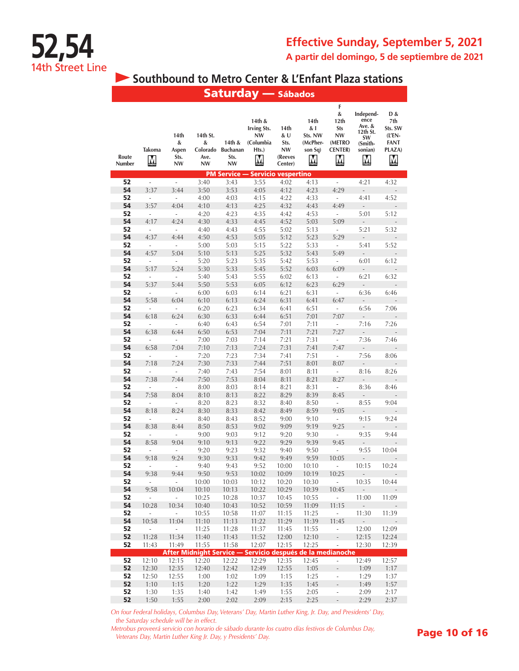

## **Southbound to Metro Center & L'Enfant Plaza stations**

|                 |                                          |                                         |                                                |                                         | <b>Saturday</b> — Sábados                                            |                                                 |                                                    |                                                                                                   |                                                                            |                                                                                       |
|-----------------|------------------------------------------|-----------------------------------------|------------------------------------------------|-----------------------------------------|----------------------------------------------------------------------|-------------------------------------------------|----------------------------------------------------|---------------------------------------------------------------------------------------------------|----------------------------------------------------------------------------|---------------------------------------------------------------------------------------|
| Route<br>Number | <b>Takoma</b><br>$\overline{\mathsf{M}}$ | 14th<br>&<br>Aspen<br>Sts.<br><b>NW</b> | 14th St.<br>&<br>Colorado<br>Ave.<br><b>NW</b> | 14th &<br><b>Buchanan</b><br>Sts.<br>NW | 14th &<br><b>Irving Sts.</b><br><b>NW</b><br>(Columbia<br>Hts.)<br>M | 14th<br>& U<br>Sts.<br>NW<br>(Reeves<br>Center) | 14th<br>& I<br>Sts. NW<br>(McPher-<br>son Sq)<br>M | F<br>&<br>12th<br><b>Sts</b><br><b>NW</b><br>(METRO<br><b>CENTER</b> )<br>$\overline{\mathsf{M}}$ | Independ-<br>ence<br>Ave. $&$<br>12th St.<br>SW<br>(Smith-<br>sonian)<br>M | D &<br>7th<br>Sts. SW<br>$($ ĽEN-<br><b>FANT</b><br>PLAZA)<br>$\overline{\mathsf{M}}$ |
| 52              | $\overline{\phantom{a}}$                 | $\overline{\phantom{a}}$                | 3:40                                           | 3:43                                    | <b>PM Service - Servicio vespertino</b><br>3:55                      | 4:02                                            |                                                    | $\overline{\phantom{a}}$                                                                          |                                                                            | 4:32                                                                                  |
| 54              | 3:37                                     | 3:44                                    | 3:50                                           | 3:53                                    | 4:05                                                                 | 4:12                                            | 4:13<br>4:23                                       | 4:29                                                                                              | 4:21<br>L,                                                                 |                                                                                       |
| 52              | ÷                                        | $\overline{\phantom{a}}$                | 4:00                                           | 4:03                                    | 4:15                                                                 | 4:22                                            | 4:33                                               | ÷                                                                                                 | 4:41                                                                       | 4:52                                                                                  |
| 54              | 3:57                                     | 4:04                                    | 4:10                                           | 4:13                                    | 4:25                                                                 | 4:32                                            | 4:43                                               | 4:49                                                                                              | $\overline{a}$                                                             |                                                                                       |
| 52              | ÷,                                       | $\overline{\phantom{a}}$                | 4:20                                           | 4:23                                    | 4:35                                                                 | 4:42                                            | 4:53                                               | $\overline{\phantom{a}}$                                                                          | 5:01                                                                       | 5:12                                                                                  |
| 54              | 4:17                                     | 4:24                                    | 4:30                                           | 4:33                                    | 4:45                                                                 | 4:52                                            | 5:03                                               | 5:09                                                                                              | $\frac{1}{2}$                                                              |                                                                                       |
| 52              | i,                                       | i,                                      | 4:40                                           | 4:43                                    | 4:55                                                                 | 5:02                                            | 5:13                                               | ÷,                                                                                                | 5:21                                                                       | 5:32                                                                                  |
| 54              | 4:37                                     | 4:44                                    | 4:50                                           | 4:53                                    | 5:05                                                                 | 5:12                                            | 5:23                                               | 5:29                                                                                              | $\overline{a}$                                                             |                                                                                       |
| 52              | $\frac{1}{2}$                            | $\frac{1}{2}$                           | 5:00                                           | 5:03                                    | 5:15                                                                 | 5:22                                            | 5:33                                               | $\overline{\phantom{a}}$                                                                          | 5:41                                                                       | 5:52                                                                                  |
| 54              | 4:57                                     | 5:04                                    | 5:10                                           | 5:13                                    | 5:25                                                                 | 5:32                                            | 5:43                                               | 5:49                                                                                              | $\overline{a}$                                                             |                                                                                       |
| 52              | ÷,                                       | ä,                                      | 5:20                                           | 5:23                                    | 5:35                                                                 | 5:42                                            | 5:53                                               | ÷,                                                                                                | 6:01                                                                       | 6:12                                                                                  |
| 54              | 5:17                                     | 5:24                                    | 5:30                                           | 5:33                                    | 5:45                                                                 | 5:52                                            | 6:03                                               | 6:09                                                                                              |                                                                            |                                                                                       |
| 52              | ÷,                                       | $\frac{1}{2}$                           | 5:40                                           | 5:43                                    | 5:55                                                                 | 6:02                                            | 6:13                                               | $\overline{\phantom{a}}$                                                                          | 6:21                                                                       | 6:32                                                                                  |
| 54              | 5:37                                     | 5:44                                    | 5:50                                           | 5:53                                    | 6:05                                                                 | 6:12                                            | 6:23                                               | 6:29                                                                                              | Ĭ.                                                                         |                                                                                       |
| 52              | ÷,                                       | ÷,                                      | 6:00                                           | 6:03                                    | 6:14                                                                 | 6:21                                            | 6:31                                               | ÷,                                                                                                | 6:36                                                                       | 6:46                                                                                  |
| 54              | 5:58                                     | 6:04                                    | 6:10                                           | 6:13                                    | 6:24                                                                 | 6:31                                            | 6:41                                               | 6:47                                                                                              | $\overline{a}$                                                             |                                                                                       |
| 52<br>54        | $\overline{\phantom{a}}$                 | ÷                                       | 6:20                                           | 6:23                                    | 6:34                                                                 | 6:41                                            | 6:51                                               | $\overline{\phantom{a}}$                                                                          | 6:56                                                                       | 7:06                                                                                  |
| 52              | 6:18<br>$\overline{\phantom{a}}$         | 6:24<br>$\blacksquare$                  | 6:30<br>6:40                                   | 6:33<br>6:43                            | 6:44<br>6:54                                                         | 6:51<br>7:01                                    | 7:01<br>7:11                                       | 7:07<br>$\overline{\phantom{a}}$                                                                  | ÷,<br>7:16                                                                 | 7:26                                                                                  |
| 54              | 6:38                                     | 6:44                                    | 6:50                                           | 6:53                                    | 7:04                                                                 | 7:11                                            | 7:21                                               | 7:27                                                                                              | $\overline{a}$                                                             |                                                                                       |
| 52              | $\overline{a}$                           | $\overline{a}$                          | 7:00                                           | 7:03                                    | 7:14                                                                 | 7:21                                            | 7:31                                               | i,                                                                                                | 7:36                                                                       | 7:46                                                                                  |
| 54              | 6:58                                     | 7:04                                    | 7:10                                           | 7:13                                    | 7:24                                                                 | 7:31                                            | 7:41                                               | 7:47                                                                                              | Ĭ.                                                                         |                                                                                       |
| 52              | $\overline{\phantom{a}}$                 | $\frac{1}{2}$                           | 7:20                                           | 7:23                                    | 7:34                                                                 | 7:41                                            | 7:51                                               | L,                                                                                                | 7:56                                                                       | 8:06                                                                                  |
| 54              | 7:18                                     | 7:24                                    | 7:30                                           | 7:33                                    | 7:44                                                                 | 7:51                                            | 8:01                                               | 8:07                                                                                              | $\overline{a}$                                                             |                                                                                       |
| 52              | ÷,                                       | $\overline{a}$                          | 7:40                                           | 7:43                                    | 7:54                                                                 | 8:01                                            | 8:11                                               | $\overline{a}$                                                                                    | 8:16                                                                       | 8:26                                                                                  |
| 54              | 7:38                                     | 7:44                                    | 7:50                                           | 7:53                                    | 8:04                                                                 | 8:11                                            | 8:21                                               | 8:27                                                                                              | L,                                                                         |                                                                                       |
| 52              | ÷,                                       | $\frac{1}{2}$                           | 8:00                                           | 8:03                                    | 8:14                                                                 | 8:21                                            | 8:31                                               | $\overline{\phantom{a}}$                                                                          | 8:36                                                                       | 8:46                                                                                  |
| 54              | 7:58                                     | 8:04                                    | 8:10                                           | 8:13                                    | 8:22                                                                 | 8:29                                            | 8:39                                               | 8:45                                                                                              | ÷                                                                          |                                                                                       |
| 52              | ÷,                                       | ÷,                                      | 8:20                                           | 8:23                                    | 8:32                                                                 | 8:40                                            | 8:50                                               | ÷,                                                                                                | 8:55                                                                       | 9:04                                                                                  |
| 54              | 8:18                                     | 8:24                                    | 8:30                                           | 8:33                                    | 8:42                                                                 | 8:49                                            | 8:59                                               | 9:05                                                                                              | $\overline{a}$                                                             |                                                                                       |
| 52              | ÷,                                       | ÷,                                      | 8:40                                           | 8:43                                    | 8:52                                                                 | 9:00                                            | 9:10                                               | ÷,                                                                                                | 9:15                                                                       | 9:24                                                                                  |
| 54              | 8:38                                     | 8:44                                    | 8:50                                           | 8:53                                    | 9:02                                                                 | 9:09                                            | 9:19                                               | 9:25                                                                                              | $\qquad \qquad -$                                                          |                                                                                       |
| 52              | ٠                                        | ÷,                                      | 9:00                                           | 9:03                                    | 9:12                                                                 | 9:20                                            | 9:30                                               | ÷                                                                                                 | 9:35                                                                       | 9:44                                                                                  |
| 54<br>52        | 8:58<br>÷,                               | 9:04<br>÷,                              | 9:10<br>9:20                                   | 9:13<br>9:23                            | 9:22<br>9:32                                                         | 9:29<br>9:40                                    | 9:39<br>9:50                                       | 9:45<br>÷,                                                                                        | 9:55                                                                       | 10:04                                                                                 |
| 54              | 9:18                                     | 9:24                                    | 9:30                                           | 9:33                                    | 9:42                                                                 | 9:49                                            | 9:59                                               | 10:05                                                                                             | $\overline{a}$                                                             |                                                                                       |
| 52              | -                                        | -                                       | 9:40                                           | 9:43                                    | 9:52                                                                 | 10:00                                           | 10:10                                              | $\overline{\phantom{a}}$                                                                          | 10:15                                                                      | 10:24                                                                                 |
| 54              | 9:38                                     | 9:44                                    | 9:50                                           | 9:53                                    | 10:02                                                                | 10:09                                           | 10:19                                              | 10:25                                                                                             | $\mathbb{Z}^2$                                                             |                                                                                       |
| 52              | $\overline{\phantom{a}}$                 | L,                                      | 10:00                                          | 10:03                                   | 10:12                                                                | 10:20                                           | 10:30                                              | ÷.                                                                                                | 10:35                                                                      | 10:44                                                                                 |
| 54              | 9:58                                     | 10:04                                   | 10:10                                          | 10:13                                   | 10:22                                                                | 10:29                                           | 10:39                                              | 10:45                                                                                             | $\overline{\phantom{a}}$                                                   |                                                                                       |
| 52              | $\overline{\phantom{a}}$                 | L,                                      | 10:25                                          | 10:28                                   | 10:37                                                                | 10:45                                           | 10:55                                              | ÷.                                                                                                | 11:00                                                                      | 11:09                                                                                 |
| 54              | 10:28                                    | 10:34                                   | 10:40                                          | 10:43                                   | 10:52                                                                | 10:59                                           | 11:09                                              | 11:15                                                                                             | $\overline{\phantom{a}}$                                                   |                                                                                       |
| 52              | ÷                                        | ÷.                                      | 10:55                                          | 10:58                                   | 11:07                                                                | 11:15                                           | 11:25                                              | $\overline{\phantom{a}}$                                                                          | 11:30                                                                      | 11:39                                                                                 |
| 54              | 10:58                                    | 11:04                                   | 11:10                                          | 11:13                                   | 11:22                                                                | 11:29                                           | 11:39                                              | 11:45                                                                                             | $\overline{\phantom{a}}$                                                   |                                                                                       |
| 52              | $\overline{a}$                           |                                         | 11:25                                          | 11:28                                   | 11:37                                                                | 11:45                                           | 11:55                                              | ÷,                                                                                                | 12:00                                                                      | 12:09                                                                                 |
| 52              | 11:28                                    | 11:34                                   | 11:40                                          | 11:43                                   | 11:52                                                                | 12:00                                           | 12:10                                              | $\frac{1}{2}$                                                                                     | 12:15                                                                      | 12:24                                                                                 |
| 52              | 11:43                                    | 11:49                                   | 11:55                                          | 11:58                                   | 12:07<br>After Midnight Service - Servicio después de la medianoche  | 12:15                                           | 12:25                                              |                                                                                                   | 12:30                                                                      | 12:39                                                                                 |
| 52              | 12:10                                    | 12:15                                   | 12:20                                          | 12:22                                   | 12:29                                                                | 12:35                                           | 12:45                                              | ä,                                                                                                | 12:49                                                                      | 12:57                                                                                 |
| 52              | 12:30                                    | 12:35                                   | 12:40                                          | 12:42                                   | 12:49                                                                | 12:55                                           | 1:05                                               | $\label{eq:reduced}$                                                                              | 1:09                                                                       | 1:17                                                                                  |
| 52              | 12:50                                    | 12:55                                   | 1:00                                           | 1:02                                    | 1:09                                                                 | 1:15                                            | 1:25                                               | $\blacksquare$                                                                                    | 1:29                                                                       | 1:37                                                                                  |
| 52              | 1:10                                     | 1:15                                    | 1:20                                           | 1:22                                    | 1:29                                                                 | 1:35                                            | 1:45                                               | ÷,                                                                                                | 1:49                                                                       | 1:57                                                                                  |
| 52              | 1:30                                     | 1:35                                    | 1:40                                           | 1:42                                    | 1:49                                                                 | 1:55                                            | 2:05                                               | $\overline{a}$                                                                                    | 2:09                                                                       | 2:17                                                                                  |
| 52              | 1:50                                     | 1:55                                    | 2:00                                           | 2:02                                    | 2:09                                                                 | 2:15                                            | 2:25                                               | $\label{eq:1}$                                                                                    | 2:29                                                                       | 2:37                                                                                  |

*On four Federal holidays, Columbus Day, Veterans' Day, Martin Luther King, Jr. Day, and Presidents' Day, the Saturday schedule will be in effect.*

*Metrobus proveerá servicio con horario de sábado durante los cuatro días festivos de Columbus Day, Veterans Day, Martin Luther King Jr. Day, y Presidents' Day.*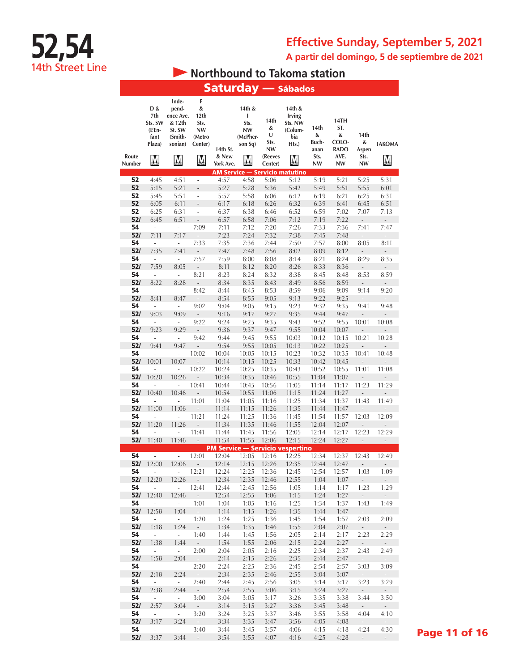**A partir del domingo, 5 de septiembre de 2021**

# **52,54** 14th Street Line

# **• Northbound to Takoma station**

|                 |                                                        |                                                                                                  |                                                               |                                |                                                                             |                                                    | <b>Saturday — Sábados</b>                                          |                                          |                                                        |                                  |                                     |
|-----------------|--------------------------------------------------------|--------------------------------------------------------------------------------------------------|---------------------------------------------------------------|--------------------------------|-----------------------------------------------------------------------------|----------------------------------------------------|--------------------------------------------------------------------|------------------------------------------|--------------------------------------------------------|----------------------------------|-------------------------------------|
| Route<br>Number | D &<br>7th<br>Sts. SW<br>(L'En-<br>fant<br>Plaza)<br>M | Inde-<br>pend-<br>ence Ave.<br>& 12th<br>St. SW<br>(Smith-<br>sonian)<br>$\sum_{n\in\mathbb{N}}$ | F<br>&<br>12th<br>Sts.<br>NW<br>(Metro<br>Center)<br><u>M</u> | 14th St.<br>& New<br>York Ave. | 14th &<br>I<br>Sts.<br>NW<br>(McPher-<br>son Sq)<br>$\overline{\mathsf{M}}$ | 14th<br>&<br>U<br>Sts.<br>NW<br>(Reeves<br>Center) | 14th &<br><b>Irving</b><br>Sts. NW<br>(Colum-<br>bia<br>Hts.)<br>M | 14th<br>&<br>Buch-<br>anan<br>Sts.<br>NW | 14TH<br>ST.<br>&<br>COLO-<br><b>RADO</b><br>AVE.<br>NW | 14th<br>&<br>Aspen<br>Sts.<br>NW | <b>TAKOMA</b><br><u>M</u>           |
|                 |                                                        |                                                                                                  |                                                               |                                |                                                                             |                                                    | <b>AM Service - Servicio matutino</b>                              |                                          |                                                        |                                  |                                     |
| 52              | 4:45                                                   | 4:51                                                                                             | $\overline{a}$                                                | 4:57                           | 4:58                                                                        | 5:06                                               | 5:12                                                               | 5:19                                     | 5:21                                                   | 5:25                             | 5:31                                |
| 52              | 5:15                                                   | 5:21<br>5:51                                                                                     | $\overline{a}$                                                | 5:27                           | 5:28<br>5:58                                                                | 5:36                                               | 5:42                                                               | 5:49                                     | 5:51<br>6:21                                           | 5:55                             | 6:01<br>6:31                        |
| 52<br>52        | 5:45<br>6:05                                           | 6:11                                                                                             | ÷<br>$\overline{a}$                                           | 5:57<br>6:17                   | 6:18                                                                        | 6:06<br>6:26                                       | 6:12<br>6:32                                                       | 6:19<br>6:39                             | 6:41                                                   | 6:25<br>6:45                     | 6:51                                |
| 52              | 6:25                                                   | 6:31                                                                                             | $\overline{\phantom{a}}$                                      | 6:37                           | 6:38                                                                        | 6:46                                               | 6:52                                                               | 6:59                                     | 7:02                                                   | 7:07                             | 7:13                                |
| 52/             | 6:45                                                   | 6:51                                                                                             | $\frac{1}{2}$                                                 | 6:57                           | 6:58                                                                        | 7:06                                               | 7:12                                                               | 7:19                                     | 7:22                                                   | $\qquad \qquad \blacksquare$     | $\qquad \qquad \blacksquare$        |
| 54              | L,                                                     | ÷,                                                                                               | 7:09                                                          | 7:11                           | 7:12                                                                        | 7:20                                               | 7:26                                                               | 7:33                                     | 7:36                                                   | 7:41                             | 7:47                                |
| 52/             | 7:11                                                   | 7:17                                                                                             | L,                                                            | 7:23                           | 7:24                                                                        | 7:32                                               | 7:38                                                               | 7:45                                     | 7:48                                                   | $\qquad \qquad \blacksquare$     | $\overline{\phantom{0}}$            |
| 54              | $\overline{a}$                                         | $\overline{\phantom{a}}$                                                                         | 7:33                                                          | 7:35                           | 7:36                                                                        | 7:44                                               | 7:50                                                               | 7:57                                     | 8:00                                                   | 8:05                             | 8:11                                |
| 52/<br>54       | 7:35                                                   | 7:41<br>$\overline{\phantom{a}}$                                                                 | L,<br>7:57                                                    | 7:47<br>7:59                   | 7:48                                                                        | 7:56                                               | 8:02                                                               | 8:09                                     | 8:12                                                   | $\overline{\phantom{a}}$<br>8:29 | $\overline{a}$<br>8:35              |
| 52/             | i,<br>7:59                                             | 8:05                                                                                             | ÷,                                                            | 8:11                           | 8:00<br>8:12                                                                | 8:08<br>8:20                                       | 8:14<br>8:26                                                       | 8:21<br>8:33                             | 8:24<br>8:36                                           | $\overline{\phantom{a}}$         | $\overline{\phantom{a}}$            |
| 54              | ÷                                                      | ÷,                                                                                               | 8:21                                                          | 8:23                           | 8:24                                                                        | 8:32                                               | 8:38                                                               | 8:45                                     | 8:48                                                   | 8:53                             | 8:59                                |
| 52/             | 8:22                                                   | 8:28                                                                                             | $\overline{a}$                                                | 8:34                           | 8:35                                                                        | 8:43                                               | 8:49                                                               | 8:56                                     | 8:59                                                   | $\overline{a}$                   | L,                                  |
| 54              | ÷,                                                     | ÷,                                                                                               | 8:42                                                          | 8:44                           | 8:45                                                                        | 8:53                                               | 8:59                                                               | 9:06                                     | 9:09                                                   | 9:14                             | 9:20                                |
| 52/             | 8:41                                                   | 8:47                                                                                             | $\overline{a}$                                                | 8:54                           | 8:55                                                                        | 9:05                                               | 9:13                                                               | 9:22                                     | 9:25                                                   | $\overline{\phantom{a}}$         | $\qquad \qquad -$                   |
| 54              | ÷,                                                     | ÷,                                                                                               | 9:02                                                          | 9:04                           | 9:05                                                                        | 9:15                                               | 9:23                                                               | 9:32                                     | 9:35                                                   | 9:41                             | 9:48                                |
| 52/<br>54       | 9:03<br>÷,                                             | 9:09<br>÷,                                                                                       | $\overline{a}$<br>9:22                                        | 9:16<br>9:24                   | 9:17<br>9:25                                                                | 9:27<br>9:35                                       | 9:35<br>9:43                                                       | 9:44<br>9:52                             | 9:47<br>9:55                                           | 10:01                            | 10:08                               |
| 52/             | 9:23                                                   | 9:29                                                                                             | $\overline{a}$                                                | 9:36                           | 9:37                                                                        | 9:47                                               | 9:55                                                               | 10:04                                    | 10:07                                                  | $\overline{\phantom{m}}$         |                                     |
| 54              | $\overline{a}$                                         | ÷,                                                                                               | 9:42                                                          | 9:44                           | 9:45                                                                        | 9:55                                               | 10:03                                                              | 10:12                                    | 10:15                                                  | 10:21                            | 10:28                               |
| 52/             | 9:41                                                   | 9:47                                                                                             | $\overline{a}$                                                | 9:54                           | 9:55                                                                        | 10:05                                              | 10:13                                                              | 10:22                                    | 10:25                                                  | ÷,                               | $\overline{a}$                      |
| 54              | $\overline{a}$                                         | $\overline{\phantom{a}}$                                                                         | 10:02                                                         | 10:04                          | 10:05                                                                       | 10:15                                              | 10:23                                                              | 10:32                                    | 10:35                                                  | 10:41                            | 10:48                               |
| 52/             | 10:01                                                  | 10:07                                                                                            | $\overline{a}$                                                | 10:14                          | 10:15                                                                       | 10:25                                              | 10:33                                                              | 10:42                                    | 10:45                                                  | $\frac{1}{2}$                    |                                     |
| 54<br>52/       | i,<br>10:20                                            | ÷,<br>10:26                                                                                      | 10:22                                                         | 10:24<br>10:34                 | 10:25<br>10:35                                                              | 10:35<br>10:46                                     | 10:43<br>10:55                                                     | 10:52<br>11:04                           | 10:55<br>11:07                                         | 11:01<br>$\overline{a}$          | 11:08<br>$\overline{a}$             |
| 54              | i,                                                     | L,                                                                                               | 10:41                                                         | 10:44                          | 10:45                                                                       | 10:56                                              | 11:05                                                              | 11:14                                    | 11:17                                                  | 11:23                            | 11:29                               |
| 52/             | 10:40                                                  | 10:46                                                                                            |                                                               | 10:54                          | 10:55                                                                       | 11:06                                              | 11:15                                                              | 11:24                                    | 11:27                                                  |                                  |                                     |
| 54              | i,                                                     | L,                                                                                               | 11:01                                                         | 11:04                          | 11:05                                                                       | 11:16                                              | 11:25                                                              | 11:34                                    | 11:37                                                  | 11:43                            | 11:49                               |
| 52/             | 11:00                                                  | 11:06                                                                                            | $\overline{a}$                                                | 11:14                          | 11:15                                                                       | 11:26                                              | 11:35                                                              | 11:44                                    | 11:47                                                  | $\overline{\phantom{m}}$         | $\overline{a}$                      |
| 54              | í,                                                     | $\overline{a}$                                                                                   | 11:21                                                         | 11:24                          | 11:25                                                                       | 11:36                                              | 11:45                                                              | 11:54                                    | 11:57                                                  | 12:03                            | 12:09                               |
| 52/<br>54       | 11:20<br>÷,                                            | 11:26<br>$\overline{\phantom{a}}$                                                                | $\overline{a}$<br>11:41                                       | 11:34<br>11:44                 | 11:35<br>11:45                                                              | 11:46<br>11:56                                     | 11:55<br>12:05                                                     | 12:04<br>12:14                           | 12:07<br>12:17                                         | 12:23                            | 12:29                               |
| 52/             | 11:40                                                  | 11:46                                                                                            | $\frac{1}{2}$                                                 | 11:54                          | 11:55                                                                       | 12:06                                              | 12:15                                                              | 12:24                                    | 12:27                                                  | $\overline{\phantom{a}}$         | $\overline{\phantom{a}}$            |
|                 |                                                        |                                                                                                  |                                                               |                                |                                                                             |                                                    | <b>PM Service - Servicio vespertino</b>                            |                                          |                                                        |                                  |                                     |
| 54              | $\overline{a}$                                         | $\overline{\phantom{a}}$                                                                         | 12:01                                                         | 12:04                          | 12:05                                                                       | 12:16                                              | 12:25                                                              | 12:34                                    | 12:37                                                  | 12:43                            | 12:49                               |
| 521             | 12:00                                                  | 12:06                                                                                            | $\sim 10^{-11}$                                               | 12:14                          | 12:15                                                                       | 12:26                                              | 12:35                                                              | 12:44                                    | 12:4/                                                  | $\sim$                           |                                     |
| 54<br>52/       | $\overline{\phantom{a}}$<br>12:20                      | ÷.<br>12:26                                                                                      | 12:21<br>$\sim$                                               | 12:24<br>12:34                 | 12:25<br>12:35                                                              | 12:36<br>12:46                                     | 12:45<br>12:55                                                     | 12:54<br>1:04                            | 12:57<br>1:07                                          | 1:03<br>$\sim$                   | 1:09<br>$\mathcal{L}^{\pm}$         |
| 54              | ÷,                                                     | $\mathcal{L}_{\mathcal{A}}$                                                                      | 12:41                                                         | 12:44                          | 12:45                                                                       | 12:56                                              | 1:05                                                               | 1:14                                     | 1:17                                                   | 1:23                             | 1:29                                |
| 52/             | 12:40                                                  | 12:46                                                                                            | $\omega_{\rm c}$                                              | 12:54                          | 12:55                                                                       | 1:06                                               | 1:15                                                               | 1:24                                     | 1:27                                                   | $\sim$                           | $\omega_{\rm{eff}}$                 |
| 54              | $\overline{\phantom{a}}$                               | $\sim$                                                                                           | 1:01                                                          | 1:04                           | 1:05                                                                        | 1:16                                               | 1:25                                                               | 1:34                                     | 1:37                                                   | 1:43                             | 1:49                                |
| 52/             | 12:58                                                  | 1:04                                                                                             | $\sim$                                                        | 1:14                           | 1:15                                                                        | 1:26                                               | 1:35                                                               | 1:44                                     | 1:47                                                   | $\overline{\phantom{a}}$         | $\sim$                              |
| 54<br>52/       | $\overline{\phantom{a}}$<br>1:18                       | $\omega_{\rm{eff}}$<br>1:24                                                                      | 1:20<br>$\sim$                                                | 1:24<br>1:34                   | 1:25<br>1:35                                                                | 1:36                                               | 1:45<br>1:55                                                       | 1:54                                     | 1:57                                                   | 2:03                             | 2:09<br>$\omega$                    |
| 54              | $\sim$                                                 | $\sim$                                                                                           | 1:40                                                          | 1:44                           | 1:45                                                                        | 1:46<br>1:56                                       | 2:05                                                               | 2:04<br>2:14                             | 2:07<br>2:17                                           | $\sim$<br>2:23                   | 2:29                                |
| 52/             | 1:38                                                   | 1:44                                                                                             | $\sim$                                                        | 1:54                           | 1:55                                                                        | 2:06                                               | 2:15                                                               | 2:24                                     | 2:27                                                   | $\sim$                           | $\sim$                              |
| 54              | $\omega$                                               | $\sim$                                                                                           | 2:00                                                          | 2:04                           | 2:05                                                                        | 2:16                                               | 2:25                                                               | 2:34                                     | 2:37                                                   | 2:43                             | 2:49                                |
| 52/             | 1:58                                                   | 2:04                                                                                             | $\sim$ $\sim$                                                 | 2:14                           | 2:15                                                                        | 2:26                                               | 2:35                                                               | 2:44                                     | 2:47                                                   | $\sim$                           | $\sim$                              |
| 54              | $\sim$                                                 | $\sim$                                                                                           | 2:20                                                          | 2:24                           | 2:25                                                                        | 2:36                                               | 2:45                                                               | 2:54                                     | 2:57                                                   | 3:03                             | 3:09                                |
| 52/<br>54       | 2:18<br>$\sim$                                         | 2:24<br>$\sim$                                                                                   | $\sim$<br>2:40                                                | 2:34<br>2:44                   | 2:35<br>2:45                                                                | 2:46<br>2:56                                       | 2:55<br>3:05                                                       | 3:04<br>3:14                             | 3:07<br>3:17                                           | $\sim$<br>3:23                   | $\mathcal{L}_{\mathcal{A}}$<br>3:29 |
| 52/             | 2:38                                                   | 2:44                                                                                             | $\sim$                                                        | 2:54                           | 2:55                                                                        | 3:06                                               | 3:15                                                               | 3:24                                     | 3:27                                                   | $\sim$                           | $\sim$                              |
| 54              | $\sim$                                                 | $\sim$                                                                                           | 3:00                                                          | 3:04                           | 3:05                                                                        | 3:17                                               | 3:26                                                               | 3:35                                     | 3:38                                                   | 3:44                             | 3:50                                |
| 52/             | 2:57                                                   | 3:04                                                                                             | $\sim$                                                        | 3:14                           | 3:15                                                                        | 3:27                                               | 3:36                                                               | 3:45                                     | 3:48                                                   | $\sim$                           | $\omega_{\rm{eff}}$                 |
| 54              | $\sim$                                                 | $\sim$                                                                                           | 3:20                                                          | 3:24                           | 3:25                                                                        | 3:37                                               | 3:46                                                               | 3:55                                     | 3:58                                                   | 4:04                             | 4:10                                |
| 52/             | 3:17                                                   | 3:24                                                                                             | $\sim$                                                        | 3:34                           | 3:35                                                                        | 3:47                                               | 3:56                                                               | 4:05                                     | 4:08                                                   | $\sim$                           | $\sim$                              |
| 54<br>52/       | $\mathcal{L}_{\mathcal{A}}$<br>3:37                    | $\sim$<br>3:44                                                                                   | 3:40<br>$\sim 10^{-11}$                                       | 3:44<br>3:54                   | 3:45<br>3:55                                                                | 3:57<br>4:07                                       | 4:06<br>4:16                                                       | 4:15<br>4:25                             | 4:18<br>4:28                                           | 4:24<br>$\sim$ $-$               | 4:30<br>$\sim$                      |

Page 11 of 16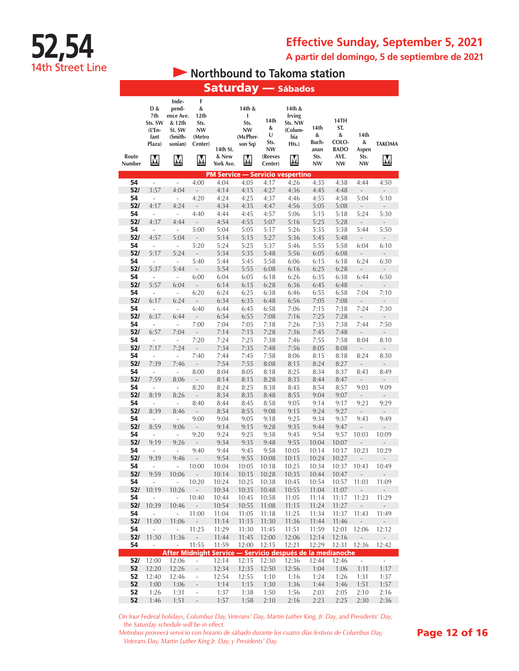**A partir del domingo, 5 de septiembre de 2021**

# **52,54** 14th Street Line

# **• Northbound to Takoma station**

|                 |                                                        |                                                                                                  |                                                        |                                |                                                                                    |                                                    | <b>Saturday — Sábados</b>                                           |                                                 |                                                 |                                         |                                          |
|-----------------|--------------------------------------------------------|--------------------------------------------------------------------------------------------------|--------------------------------------------------------|--------------------------------|------------------------------------------------------------------------------------|----------------------------------------------------|---------------------------------------------------------------------|-------------------------------------------------|-------------------------------------------------|-----------------------------------------|------------------------------------------|
| Route<br>Number | D &<br>7th<br>Sts. SW<br>(L'En-<br>fant<br>Plaza)<br>M | Inde-<br>pend-<br>ence Ave.<br>& 12th<br>St. SW<br>(Smith-<br>sonian)<br>$\overline{\mathbf{M}}$ | F<br>&<br>12th<br>Sts.<br>NW<br>(Metro<br>Center)<br>M | 14th St.<br>& New<br>York Ave. | 14th &<br>ı<br>Sts.<br><b>NW</b><br>(McPher-<br>son Sq)<br>$\overline{\mathsf{M}}$ | 14th<br>&<br>U<br>Sts.<br>NW<br>(Reeves<br>Center) | 14th &<br><b>Irving</b><br>Sts. NW<br>(Colum-<br>bia<br>Hts.)<br>Ņ  | 14th<br>&<br>Buch-<br>anan<br>Sts.<br><b>NW</b> | 14TH<br>ST.<br>&<br>COLO-<br>RADO<br>AVE.<br>NW | 14th<br>&<br>Aspen<br>Sts.<br><b>NW</b> | <b>TAKOMA</b><br>$\overline{\mathsf{M}}$ |
|                 |                                                        |                                                                                                  |                                                        |                                |                                                                                    |                                                    | <b>PM Service - Servicio vespertino</b>                             |                                                 |                                                 |                                         |                                          |
| 54              | $\frac{1}{2}$                                          | $\overline{a}$                                                                                   | 4:00                                                   | 4:04                           | 4:05                                                                               | 4:17                                               | 4:26                                                                | 4:35                                            | 4:38                                            | 4:44                                    | 4:50                                     |
| 52/             | 3:57                                                   | 4:04                                                                                             | $\overline{\phantom{a}}$                               | 4:14                           | 4:15                                                                               | 4:27                                               | 4:36                                                                | 4:45                                            | 4:48                                            | L,                                      | ÷,                                       |
| 54<br>52/       | i,<br>4:17                                             | $\overline{\phantom{a}}$<br>4:24                                                                 | 4:20                                                   | 4:24<br>4:34                   | 4:25<br>4:35                                                                       | 4:37<br>4:47                                       | 4:46<br>4:56                                                        | 4:55                                            | 4:58                                            | 5:04                                    | 5:10                                     |
| 54              | i,                                                     | ÷,                                                                                               | ÷,<br>4:40                                             | 4:44                           | 4:45                                                                               | 4:57                                               | 5:06                                                                | 5:05<br>5:15                                    | 5:08<br>5:18                                    | ÷,<br>5:24                              | ÷,<br>5:30                               |
| 52/             | 4:37                                                   | 4:44                                                                                             | $\overline{a}$                                         | 4:54                           | 4:55                                                                               | 5:07                                               | 5:16                                                                | 5:25                                            | 5:28                                            | $\overline{a}$                          | $\overline{\phantom{a}}$                 |
| 54              | ÷,                                                     | ÷,                                                                                               | 5:00                                                   | 5:04                           | 5:05                                                                               | 5:17                                               | 5:26                                                                | 5:35                                            | 5:38                                            | 5:44                                    | 5:50                                     |
| 52/             | 4:57                                                   | 5:04                                                                                             | $\overline{a}$                                         | 5:14                           | 5:15                                                                               | 5:27                                               | 5:36                                                                | 5:45                                            | 5:48                                            | $\overline{a}$                          | Ĭ.                                       |
| 54<br>52/       | $\frac{1}{2}$                                          | ÷,                                                                                               | 5:20                                                   | 5:24                           | 5:25                                                                               | 5:37                                               | 5:46                                                                | 5:55                                            | 5:58                                            | 6:04                                    | 6:10                                     |
| 54              | 5:17<br>÷,                                             | 5:24<br>$\overline{\phantom{a}}$                                                                 | $\frac{1}{2}$<br>5:40                                  | 5:34<br>5:44                   | 5:35<br>5:45                                                                       | 5:48<br>5:58                                       | 5:56<br>6:06                                                        | 6:05<br>6:15                                    | 6:08<br>6:18                                    | $\overline{\phantom{m}}$<br>6:24        | $\overline{a}$<br>6:30                   |
| 52/             | 5:37                                                   | 5:44                                                                                             | $\overline{\phantom{a}}$                               | 5:54                           | 5:55                                                                               | 6:08                                               | 6:16                                                                | 6:25                                            | 6:28                                            | ÷,                                      | ÷,                                       |
| 54              | ÷                                                      | $\overline{\phantom{a}}$                                                                         | 6:00                                                   | 6:04                           | 6:05                                                                               | 6:18                                               | 6:26                                                                | 6:35                                            | 6:38                                            | 6:44                                    | 6:50                                     |
| 52/             | 5:57                                                   | 6:04                                                                                             | $\overline{a}$                                         | 6:14                           | 6:15                                                                               | 6:28                                               | 6:36                                                                | 6:45                                            | 6:48                                            | ÷,                                      | ÷,                                       |
| 54              | $\overline{\phantom{a}}$                               | $\overline{\phantom{a}}$                                                                         | 6:20                                                   | 6:24                           | 6:25                                                                               | 6:38                                               | 6:46                                                                | 6:55                                            | 6:58                                            | 7:04                                    | 7:10                                     |
| 52/<br>54       | 6:17<br>$\overline{\phantom{a}}$                       | 6:24<br>$\overline{\phantom{a}}$                                                                 | $\overline{a}$<br>6:40                                 | 6:34<br>6:44                   | 6:35                                                                               | 6:48<br>6:58                                       | 6:56<br>7:06                                                        | 7:05                                            | 7:08                                            | $\overline{a}$<br>7:24                  | $\overline{a}$<br>7:30                   |
| 52/             | 6:37                                                   | 6:44                                                                                             | $\overline{a}$                                         | 6:54                           | 6:45<br>6:55                                                                       | 7:08                                               | 7:16                                                                | 7:15<br>7:25                                    | 7:18<br>7:28                                    | $\overline{a}$                          | ÷,                                       |
| 54              | $\overline{a}$                                         | i,                                                                                               | 7:00                                                   | 7:04                           | 7:05                                                                               | 7:18                                               | 7:26                                                                | 7:35                                            | 7:38                                            | 7:44                                    | 7:50                                     |
| 52/             | 6:57                                                   | 7:04                                                                                             | $\overline{\phantom{m}}$                               | 7:14                           | 7:15                                                                               | 7:28                                               | 7:36                                                                | 7:45                                            | 7:48                                            | $\overline{\phantom{m}}$                | L,                                       |
| 54              | i,                                                     | $\overline{\phantom{a}}$                                                                         | 7:20                                                   | 7:24                           | 7:25                                                                               | 7:38                                               | 7:46                                                                | 7:55                                            | 7:58                                            | 8:04                                    | 8:10                                     |
| 52/             | 7:17                                                   | 7:24                                                                                             | $\overline{\phantom{a}}$                               | 7:34                           | 7:35                                                                               | 7:48                                               | 7:56                                                                | 8:05                                            | 8:08                                            | ÷,                                      | ÷,                                       |
| 54<br>52/       | i,<br>7:39                                             | ÷,<br>7:46                                                                                       | 7:40<br>÷,                                             | 7:44<br>7:54                   | 7:45<br>7:55                                                                       | 7:58<br>8:08                                       | 8:06<br>8:15                                                        | 8:15<br>8:24                                    | 8:18<br>8:27                                    | 8:24<br>-                               | 8:30<br>-                                |
| 54              | $\frac{1}{2}$                                          | $\overline{\phantom{a}}$                                                                         | 8:00                                                   | 8:04                           | 8:05                                                                               | 8:18                                               | 8:25                                                                | 8:34                                            | 8:37                                            | 8:43                                    | 8:49                                     |
| 52/             | 7:59                                                   | 8:06                                                                                             | $\overline{a}$                                         | 8:14                           | 8:15                                                                               | 8:28                                               | 8:35                                                                | 8:44                                            | 8:47                                            | $\overline{a}$                          | $\overline{a}$                           |
| 54              | $\frac{1}{2}$                                          | ÷,                                                                                               | 8:20                                                   | 8:24                           | 8:25                                                                               | 8:38                                               | 8:45                                                                | 8:54                                            | 8:57                                            | 9:03                                    | 9:09                                     |
| 52/             | 8:19                                                   | 8:26                                                                                             |                                                        | 8:34                           | 8:35                                                                               | 8:48                                               | 8:55                                                                | 9:04                                            | 9:07                                            |                                         |                                          |
| 54<br>52/       | $\frac{1}{2}$<br>8:39                                  | ÷,<br>8:46                                                                                       | 8:40<br>$\overline{a}$                                 | 8:44<br>8:54                   | 8:45<br>8:55                                                                       | 8:58<br>9:08                                       | 9:05<br>9:15                                                        | 9:14<br>9:24                                    | 9:17<br>9:27                                    | 9:23<br>L,                              | 9:29<br>$\overline{a}$                   |
| 54              | ÷,                                                     | ÷,                                                                                               | 9:00                                                   | 9:04                           | 9:05                                                                               | 9:18                                               | 9:25                                                                | 9:34                                            | 9:37                                            | 9:43                                    | 9:49                                     |
| 52/             | 8:59                                                   | 9:06                                                                                             | $\overline{\phantom{a}}$                               | 9:14                           | 9:15                                                                               | 9:28                                               | 9:35                                                                | 9:44                                            | 9:47                                            | L,                                      | ÷,                                       |
| 54              | $\overline{\phantom{a}}$                               | ÷                                                                                                | 9:20                                                   | 9:24                           | 9:25                                                                               | 9:38                                               | 9:45                                                                | 9:54                                            | 9:57                                            | 10:03                                   | 10:09                                    |
| 52/             | 9:19                                                   | 9:26                                                                                             | ÷,                                                     | 9:34                           | 9:35                                                                               | 9:48                                               | 9:55                                                                | 10:04                                           | 10:07                                           |                                         |                                          |
| 54<br>52/       | $\overline{\phantom{a}}$<br>9:39                       | ÷,<br>9:46                                                                                       | 9:40<br>$\overline{a}$                                 | 9:44<br>9:54                   | 9:45<br>9:55                                                                       | 9:58                                               | 10:05<br>10:15                                                      | 10:14<br>10:24                                  | 10:17<br>10:27                                  | 10:23<br>$\overline{a}$                 | 10:29                                    |
| 54              | L,                                                     | L,                                                                                               | 10:00                                                  | 10:04                          | 10:05                                                                              | 10:08<br>10:18                                     | 10:25                                                               | 10:34                                           | 10:37                                           | 10:43                                   | $\qquad \qquad -$<br>10:49               |
| 52/             | 9:59                                                   | 10:06                                                                                            | $\frac{1}{2}$                                          | 10:14                          | 10:15                                                                              | 10:28                                              | 10:35                                                               | 10:44                                           | 10:47                                           | $\frac{1}{2}$                           | $\overline{\phantom{a}}$                 |
| 54              | $\overline{\phantom{a}}$                               | ÷,                                                                                               | 10:20                                                  | 10:24                          | 10:25                                                                              | 10:38                                              | 10:45                                                               | 10:54                                           | 10:57                                           | 11:03                                   | 11:09                                    |
| 52/             | 10:19                                                  | 10:26                                                                                            | $\mathcal{L}_{\mathcal{A}}$                            | 10:34                          | 10:35                                                                              | 10:48                                              | 10:55                                                               | 11:04                                           | 11:07                                           | $\sim$                                  | ÷.                                       |
| 54<br>52/       | L,                                                     | $\overline{\phantom{a}}$                                                                         | 10:40                                                  | 10:44                          | 10:45                                                                              | 10:58                                              | 11:05                                                               | 11:14                                           | 11:17                                           | 11:23                                   | 11:29                                    |
| 54              | 10:39<br>÷,                                            | 10:46<br>ä,                                                                                      | $\overline{\phantom{a}}$<br>11:00                      | 10:54<br>11:04                 | 10:55<br>11:05                                                                     | 11:08<br>11:18                                     | 11:15<br>11:25                                                      | 11:24<br>11:34                                  | 11:27<br>11:37                                  | $\overline{\phantom{a}}$<br>11:43       | $\overline{\phantom{a}}$<br>11:49        |
| 52/             | 11:00                                                  | 11:06                                                                                            | $\overline{\phantom{a}}$                               | 11:14                          | 11:15                                                                              | 11:30                                              | 11:36                                                               | 11:44                                           | 11:46                                           | ÷,                                      | ÷,                                       |
| 54              | $\overline{\phantom{a}}$                               | ä,                                                                                               | 11:25                                                  | 11:29                          | 11:30                                                                              | 11:45                                              | 11:51                                                               | 11:59                                           | 12:01                                           | 12:06                                   | 12:12                                    |
| 52/             | 11:30                                                  | 11:36                                                                                            | ÷,                                                     | 11:44                          | 11:45                                                                              | 12:00                                              | 12:06                                                               | 12:14                                           | 12:16                                           | -                                       | $\overline{\phantom{a}}$                 |
| 54              | ÷,                                                     | $\overline{\phantom{a}}$                                                                         | 11:55                                                  | 11:59                          | 12:00                                                                              | 12:15                                              | 12:21                                                               | 12:29                                           | 12:31                                           | 12:36                                   | 12:42                                    |
| 52/             | 12:00                                                  | 12:06                                                                                            | $\overline{\phantom{0}}$                               | 12:14                          | 12:15                                                                              | 12:30                                              | After Midnight Service — Servicio después de la medianoche<br>12:36 | 12:44                                           | 12:46                                           | $\omega$                                | $\mathbb{Z}^2$                           |
| 52              | 12:20                                                  | 12:26                                                                                            | $\bar{\phantom{a}}$                                    | 12:34                          | 12:35                                                                              | 12:50                                              | 12:56                                                               | 1:04                                            | 1:06                                            | 1:11                                    | 1:17                                     |
| 52              | 12:40                                                  | 12:46                                                                                            | $\frac{1}{2}$                                          | 12:54                          | 12:55                                                                              | 1:10                                               | 1:16                                                                | 1:24                                            | 1:26                                            | 1:31                                    | 1:37                                     |
| 52              | 1:00                                                   | 1:06                                                                                             | ÷,                                                     | 1:14                           | 1:15                                                                               | 1:30                                               | 1:36                                                                | 1:44                                            | 1:46                                            | 1:51                                    | 1:57                                     |
| 52              | 1:26                                                   | 1:31                                                                                             | $\overline{\phantom{a}}$                               | 1:37                           | 1:38                                                                               | 1:50                                               | 1:56                                                                | 2:03                                            | 2:05                                            | 2:10                                    | 2:16                                     |
| 52              | 1:46                                                   | 1:51                                                                                             | $\Box$                                                 | 1:57                           | 1:58                                                                               | 2:10                                               | 2:16                                                                | 2:23                                            | 2:25                                            | 2:30                                    | 2:36                                     |

*On four Federal holidays, Columbus Day, Veterans' Day, Martin Luther King, Jr. Day, and Presidents' Day, the Saturday schedule will be in effect.*

*Metrobus proveerá servicio con horario de sábado durante los cuatro días festivos de Columbus Day, Veterans Day, Martin Luther King Jr. Day, y Presidents' Day.*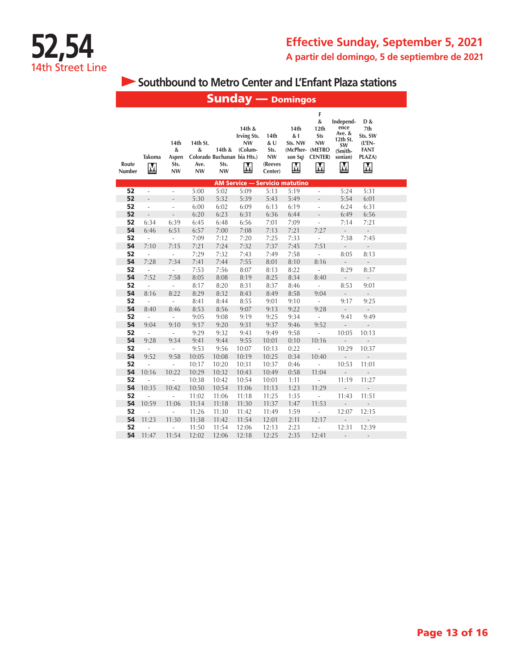**Southbound to Metro Center and L'Enfant Plaza stations** 

|                 | <b>Sunday</b> — Domingos |                                         |                                    |                                                            |                                                           |                                                |                                                             |                                                                        |                                                                                 |                                                                  |  |  |  |
|-----------------|--------------------------|-----------------------------------------|------------------------------------|------------------------------------------------------------|-----------------------------------------------------------|------------------------------------------------|-------------------------------------------------------------|------------------------------------------------------------------------|---------------------------------------------------------------------------------|------------------------------------------------------------------|--|--|--|
| Route<br>Number | Takoma<br>$\mathbf M$    | 14th<br>&<br>Aspen<br>Sts.<br><b>NW</b> | 14th St.<br>&<br>Ave.<br><b>NW</b> | 14th &<br>Colorado Buchanan bia Hts.)<br>Sts.<br><b>NW</b> | 14th &<br><b>Irving Sts.</b><br><b>NW</b><br>(Colum-<br>M | 14th<br>&U<br>Sts.<br>NW<br>(Reeves<br>Center) | 14th<br>&1<br>Sts. NW<br>son Sq)<br>$\overline{\mathsf{M}}$ | F<br>&<br>12th<br>Sts<br>NW<br>(McPher- (METRO<br><b>CENTER</b> )<br>Ņ | Independ-<br>ence<br>Ave. &<br>12th St.<br><b>SW</b><br>(Smith-<br>sonian)<br>M | D &<br>7th<br>Sts. SW<br>$(L'EN -$<br><b>FANT</b><br>PLAZA)<br>M |  |  |  |
|                 |                          |                                         |                                    |                                                            | <b>AM Service - Servicio matutino</b>                     |                                                |                                                             |                                                                        |                                                                                 |                                                                  |  |  |  |
| 52              | ä,                       | ä,                                      | 5:00                               | 5:02                                                       | 5:09                                                      | 5:13                                           | 5:19                                                        | ÷,                                                                     | 5:24                                                                            | 5:31                                                             |  |  |  |
| 52              | $\overline{a}$           | $\overline{a}$                          | 5:30                               | 5:32                                                       | 5:39                                                      | 5:43                                           | 5:49                                                        | -                                                                      | 5:54                                                                            | 6:01                                                             |  |  |  |
| 52              | L                        | ÷,                                      | 6:00                               | 6:02                                                       | 6:09                                                      | 6:13                                           | 6:19                                                        | ÷,                                                                     | 6:24                                                                            | 6:31                                                             |  |  |  |
| 52              | $\overline{a}$           | ÷,                                      | 6:20                               | 6:23                                                       | 6:31                                                      | 6:36                                           | 6:44                                                        | -                                                                      | 6:49                                                                            | 6:56                                                             |  |  |  |
| 52              | 6:34                     | 6:39                                    | 6:45                               | 6:48                                                       | 6:56                                                      | 7:01                                           | 7:09                                                        | $\overline{\phantom{a}}$                                               | 7:14                                                                            | 7:21                                                             |  |  |  |
| 54              | 6:46                     | 6:51                                    | 6:57                               | 7:00                                                       | 7:08                                                      | 7:13                                           | 7:21                                                        | 7:27                                                                   | $\sim$                                                                          | $\sim$                                                           |  |  |  |
| 52              | $\overline{\phantom{a}}$ | $\overline{\phantom{a}}$                | 7:09                               | 7:12                                                       | 7:20                                                      | 7:25                                           | 7:33                                                        | $\overline{\phantom{a}}$                                               | 7:38                                                                            | 7:45                                                             |  |  |  |
| 54              | 7:10                     | 7:15                                    | 7:21                               | 7:24                                                       | 7:32                                                      | 7:37                                           | 7:45                                                        | 7:51                                                                   | $\overline{\phantom{a}}$                                                        | $\frac{1}{2}$                                                    |  |  |  |
| 52              | $\overline{a}$           | $\overline{\phantom{a}}$                | 7:29                               | 7:32                                                       | 7:43                                                      | 7:49                                           | 7:58                                                        | $\overline{\phantom{a}}$                                               | 8:05                                                                            | 8:13                                                             |  |  |  |
| 54              | 7:28                     | 7:34                                    | 7:41                               | 7:44                                                       | 7:55                                                      | 8:01                                           | 8:10                                                        | 8:16                                                                   | $\overline{a}$                                                                  | $\frac{1}{2}$                                                    |  |  |  |
| 52              | $\overline{\phantom{a}}$ | $\overline{\phantom{a}}$                | 7:53                               | 7:56                                                       | 8:07                                                      | 8:13                                           | 8:22                                                        | $\frac{1}{2}$                                                          | 8:29                                                                            | 8:37                                                             |  |  |  |
| 54              | 7:52                     | 7:58                                    | 8:05                               | 8:08                                                       | 8:19                                                      | 8:25                                           | 8:34                                                        | 8:40                                                                   | ÷,                                                                              | $\overline{\phantom{a}}$                                         |  |  |  |
| 52<br>54        | $\overline{a}$           | $\overline{\phantom{a}}$                | 8:17                               | 8:20                                                       | 8:31                                                      | 8:37                                           | 8:46                                                        | L,                                                                     | 8:53                                                                            | 9:01                                                             |  |  |  |
| 52              | 8:16                     | 8:22                                    | 8:29                               | 8:32                                                       | 8:43                                                      | 8:49                                           | 8:58                                                        | 9:04                                                                   | $\overline{a}$                                                                  | $\frac{1}{2}$                                                    |  |  |  |
| 54              | L,<br>8:40               | $\frac{1}{2}$<br>8:46                   | 8:41<br>8:53                       | 8:44<br>8:56                                               | 8:55<br>9:07                                              | 9:01<br>9:13                                   | 9:10<br>9:22                                                | $\overline{\phantom{a}}$<br>9:28                                       | 9:17<br>$\overline{a}$                                                          | 9:25<br>$\mathbb{Z}^{\mathbb{Z}}$                                |  |  |  |
| 52              | $\overline{\phantom{a}}$ | $\overline{\phantom{a}}$                | 9:05                               | 9:08                                                       | 9:19                                                      | 9:25                                           | 9:34                                                        | $\overline{\phantom{a}}$                                               | 9:41                                                                            | 9:49                                                             |  |  |  |
| 54              | 9:04                     | 9:10                                    | 9:17                               | 9:20                                                       | 9:31                                                      | 9:37                                           | 9:46                                                        | 9:52                                                                   | $\overline{a}$                                                                  | $\frac{1}{2}$                                                    |  |  |  |
| 52              | $\overline{\phantom{a}}$ | ÷,                                      | 9:29                               | 9:32                                                       | 9:43                                                      | 9:49                                           | 9:58                                                        | ÷,                                                                     | 10:05                                                                           | 10:13                                                            |  |  |  |
| 54              | 9:28                     | 9:34                                    | 9:41                               | 9:44                                                       | 9:55                                                      | 10:01                                          | 0:10                                                        | 10:16                                                                  | $\overline{a}$                                                                  | $\overline{a}$                                                   |  |  |  |
| 52              | $\Box$                   | ÷                                       | 9:53                               | 9:56                                                       | 10:07                                                     | 10:13                                          | 0:22                                                        | L,                                                                     | 10:29                                                                           | 10:37                                                            |  |  |  |
| 54              | 9:52                     | 9:58                                    | 10:05                              | 10:08                                                      | 10:19                                                     | 10:25                                          | 0:34                                                        | 10:40                                                                  | $\overline{a}$                                                                  | $\overline{\phantom{m}}$                                         |  |  |  |
| 52              | i,                       | $\overline{\phantom{a}}$                | 10:17                              | 10:20                                                      | 10:31                                                     | 10:37                                          | 0:46                                                        | L,                                                                     | 10:53                                                                           | 11:01                                                            |  |  |  |
| 54              | 10:16                    | 10:22                                   | 10:29                              | 10:32                                                      | 10:43                                                     | 10:49                                          | 0:58                                                        | 11:04                                                                  | $\overline{a}$                                                                  | L,                                                               |  |  |  |
| 52              | Ĭ.                       | ÷,                                      | 10:38                              | 10:42                                                      | 10:54                                                     | 10:01                                          | 1:11                                                        | L,                                                                     | 11:19                                                                           | 11:27                                                            |  |  |  |
| 54              | 10:35                    | 10:42                                   | 10:50                              | 10:54                                                      | 11:06                                                     | 11:13                                          | 1:23                                                        | 11:29                                                                  | $\overline{\phantom{0}}$                                                        | $\overline{\phantom{a}}$                                         |  |  |  |
| 52              | Ĭ.                       | $\overline{a}$                          | 11:02                              | 11:06                                                      | 11:18                                                     | 11:25                                          | 1:35                                                        | ÷,                                                                     | 11:43                                                                           | 11:51                                                            |  |  |  |
| 54              | 10:59                    | 11:06                                   | 11:14                              | 11:18                                                      | 11:30                                                     | 11:37                                          | 1:47                                                        | 11:53                                                                  | $\overline{a}$                                                                  | $\overline{a}$                                                   |  |  |  |
| 52              | ÷,                       | $\overline{\phantom{a}}$                | 11:26                              | 11:30                                                      | 11:42                                                     | 11:49                                          | 1:59                                                        | $\overline{\phantom{a}}$                                               | 12:07                                                                           | 12:15                                                            |  |  |  |
| 54              | 11:23                    | 11:30                                   | 11:38                              | 11:42                                                      | 11:54                                                     | 12:01                                          | 2:11                                                        | 12:17                                                                  | $\frac{1}{2}$                                                                   | $\overline{a}$                                                   |  |  |  |
| 52              | ÷,                       | $\overline{\phantom{a}}$                | 11:50                              | 11:54                                                      | 12:06                                                     | 12:13                                          | 2:23                                                        | ÷                                                                      | 12:31                                                                           | 12:39                                                            |  |  |  |
| 54              | 11:47                    | 11:54                                   | 12:02                              | 12:06                                                      | 12:18                                                     | 12:25                                          | 2:35                                                        | 12:41                                                                  | $\overline{\phantom{0}}$                                                        | $\overline{\phantom{a}}$                                         |  |  |  |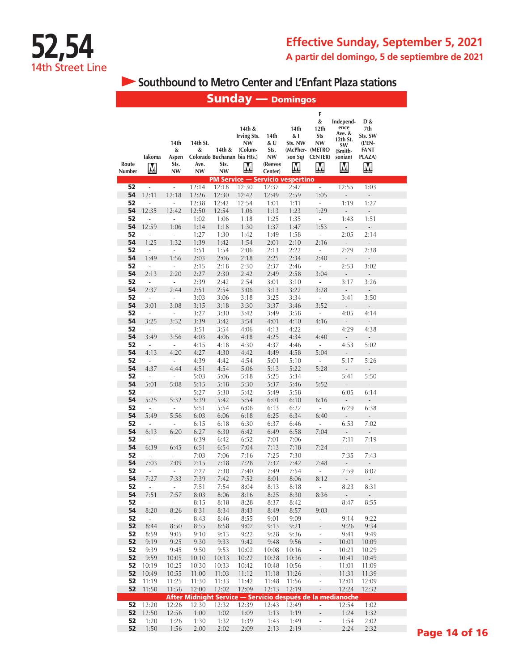**Southbound to Metro Center and L'Enfant Plaza stations** 

|                 |                             |                                  |                                    | <b>Sunday — Domingos</b>                                   |                                                    |                                                 |                                        |                                                                               |                                                                          |                                                                  |  |
|-----------------|-----------------------------|----------------------------------|------------------------------------|------------------------------------------------------------|----------------------------------------------------|-------------------------------------------------|----------------------------------------|-------------------------------------------------------------------------------|--------------------------------------------------------------------------|------------------------------------------------------------------|--|
| Route<br>Number | Takoma<br>M                 | 14th<br>&<br>Aspen<br>Sts.<br>NW | 14th St.<br>&<br>Ave.<br><b>NW</b> | 14th &<br>Colorado Buchanan bia Hts.)<br>Sts.<br><b>NW</b> | 14th &<br><b>Irving Sts.</b><br>NW<br>(Colum-<br>M | 14th<br>& U<br>Sts.<br>NW<br>(Reeves<br>Center) | 14th<br>& I<br>Sts. NW<br>son Sq)<br>M | F<br>&<br>12th<br><b>Sts</b><br>NW<br>(McPher- (METRO<br><b>CENTER</b> )<br>M | Independ-<br>ence<br>Ave. &<br>12th St.<br>SW<br>(Smith-<br>sonian)<br>M | D &<br>7th<br>Sts. SW<br>$(L'EN -$<br><b>FANT</b><br>PLAZA)<br>M |  |
| 52              | i,                          | $\mathcal{L}_{\mathcal{A}}$      | 12:14                              | <b>PM Service - Servicio vespertino</b><br>12:18           | 12:30                                              | 12:37                                           | 2:47                                   | ÷,                                                                            | 12:55                                                                    | 1:03                                                             |  |
| 54              | 12:11                       | 12:18                            | 12:26                              | 12:30                                                      | 12:42                                              | 12:49                                           | 2:59                                   | 1:05                                                                          | $\overline{a}$                                                           | $\overline{a}$                                                   |  |
| 52              | L,                          | i,                               | 12:38                              | 12:42                                                      | 12:54                                              | 1:01                                            | 1:11                                   | ÷,                                                                            | 1:19                                                                     | 1:27                                                             |  |
| 54              | 12:35                       | 12:42                            | 12:50                              | 12:54                                                      | 1:06                                               | 1:13                                            | 1:23                                   | 1:29                                                                          | $\overline{a}$                                                           | $\frac{1}{2}$                                                    |  |
| 52              | $\overline{a}$              | i,                               | 1:02                               | 1:06                                                       | 1:18                                               | 1:25                                            | 1:35                                   | ÷,                                                                            | 1:43                                                                     | 1:51                                                             |  |
| 54              | 12:59                       | 1:06                             | 1:14                               | 1:18                                                       | 1:30                                               | 1:37                                            | 1:47                                   | 1:53                                                                          | ÷,                                                                       | ÷,                                                               |  |
| 52<br>54        | $\overline{a}$<br>1:25      | i,<br>1:32                       | 1:27<br>1:39                       | 1:30<br>1:42                                               | 1:42<br>1:54                                       | 1:49<br>2:01                                    | 1:58<br>2:10                           | ÷<br>2:16                                                                     | 2:05<br>÷,                                                               | 2:14<br>L,                                                       |  |
| 52              | ÷                           | $\overline{\phantom{a}}$         | 1:51                               | 1:54                                                       | 2:06                                               | 2:13                                            | 2:22                                   | $\overline{\phantom{a}}$                                                      | 2:29                                                                     | 2:38                                                             |  |
| 54              | 1:49                        | 1:56                             | 2:03                               | 2:06                                                       | 2:18                                               | 2:25                                            | 2:34                                   | 2:40                                                                          | ÷,                                                                       | $\Box$                                                           |  |
| 52              | $\overline{\phantom{a}}$    | ÷,                               | 2:15                               | 2:18                                                       | 2:30                                               | 2:37                                            | 2:46                                   | $\overline{\phantom{a}}$                                                      | 2:53                                                                     | 3:02                                                             |  |
| 54              | 2:13                        | 2:20                             | 2:27                               | 2:30                                                       | 2:42                                               | 2:49                                            | 2:58                                   | 3:04                                                                          | -                                                                        | $\overline{a}$                                                   |  |
| 52              | ÷,                          | ÷,                               | 2:39                               | 2:42                                                       | 2:54                                               | 3:01                                            | 3:10                                   | $\overline{\phantom{a}}$                                                      | 3:17                                                                     | 3:26                                                             |  |
| 54<br>52        | 2:37<br>÷,                  | 2:44<br>÷,                       | 2:51<br>3:03                       | 2:54<br>3:06                                               | 3:06<br>3:18                                       | 3:13<br>3:25                                    | 3:22<br>3:34                           | 3:28<br>÷,                                                                    | ÷,<br>3:41                                                               | $\frac{1}{2}$<br>3:50                                            |  |
| 54              | 3:01                        | 3:08                             | 3:15                               | 3:18                                                       | 3:30                                               | 3:37                                            | 3:46                                   | 3:52                                                                          | $\overline{\phantom{0}}$                                                 | $\overline{\phantom{a}}$                                         |  |
| 52              | $\overline{\phantom{a}}$    | $\overline{\phantom{a}}$         | 3:27                               | 3:30                                                       | 3:42                                               | 3:49                                            | 3:58                                   | ÷,                                                                            | 4:05                                                                     | 4:14                                                             |  |
| 54              | 3:25                        | 3:32                             | 3:39                               | 3:42                                                       | 3:54                                               | 4:01                                            | 4:10                                   | 4:16                                                                          | ÷,                                                                       | $\overline{\phantom{a}}$                                         |  |
| 52              | $\Box$                      | $\overline{\phantom{a}}$         | 3:51                               | 3:54                                                       | 4:06                                               | 4:13                                            | 4:22                                   | ÷                                                                             | 4:29                                                                     | 4:38                                                             |  |
| 54              | 3:49                        | 3:56                             | 4:03                               | 4:06                                                       | 4:18                                               | 4:25                                            | 4:34                                   | 4:40                                                                          | $\overline{\phantom{0}}$                                                 | $\mathbb{Z}^2$                                                   |  |
| 52<br>54        | ÷<br>4:13                   | $\overline{\phantom{a}}$<br>4:20 | 4:15<br>4:27                       | 4:18<br>4:30                                               | 4:30<br>4:42                                       | 4:37<br>4:49                                    | 4:46<br>4:58                           | ÷<br>5:04                                                                     | 4:53<br>L,                                                               | 5:02<br>$\frac{1}{2}$                                            |  |
| 52              | L,                          | $\blacksquare$                   | 4:39                               | 4:42                                                       | 4:54                                               | 5:01                                            | 5:10                                   | ÷,                                                                            | 5:17                                                                     | 5:26                                                             |  |
| 54              | 4:37                        | 4:44                             | 4:51                               | 4:54                                                       | 5:06                                               | 5:13                                            | 5:22                                   | 5:28                                                                          | $\overline{a}$                                                           | $\overline{\phantom{a}}$                                         |  |
| 52              | $\overline{a}$              | ÷                                | 5:03                               | 5:06                                                       | 5:18                                               | 5:25                                            | 5:34                                   | ÷                                                                             | 5:41                                                                     | 5:50                                                             |  |
| 54              | 5:01                        | 5:08                             | 5:15                               | 5:18                                                       | 5:30                                               | 5:37                                            | 5:46                                   | 5:52                                                                          | $\overline{\phantom{a}}$                                                 | ÷,                                                               |  |
| 52              | i,                          | $\overline{\phantom{a}}$         | 5:27                               | 5:30                                                       | 5:42                                               | 5:49                                            | 5:58                                   | L,                                                                            | 6:05                                                                     | 6:14                                                             |  |
| 54<br>52        | 5:25<br>$\overline{a}$      | 5:32<br>$\blacksquare$           | 5:39<br>5:51                       | 5:42<br>5:54                                               | 5:54<br>6:06                                       | 6:01<br>6:13                                    | 6:10<br>6:22                           | 6:16<br>$\overline{\phantom{a}}$                                              | ÷,<br>6:29                                                               | $\overline{\phantom{a}}$<br>6:38                                 |  |
| 54              | 5:49                        | 5:56                             | 6:03                               | 6:06                                                       | 6:18                                               | 6:25                                            | 6:34                                   | 6:40                                                                          | ÷,                                                                       | ÷,                                                               |  |
| 52              | $\frac{1}{2}$               | $\overline{\phantom{a}}$         | 6:15                               | 6:18                                                       | 6:30                                               | 6:37                                            | 6:46                                   | $\overline{\phantom{a}}$                                                      | 6:53                                                                     | 7:02                                                             |  |
| 54              | 6:13                        | 6:20                             | 6:27                               | 6:30                                                       | 6:42                                               | 6:49                                            | 6:58                                   | 7:04                                                                          | $\overline{\phantom{a}}$                                                 | $\centerdot$                                                     |  |
| 52              | ÷,                          | $\overline{\phantom{a}}$         | 6:39                               | 6:42                                                       | 6:52                                               | 7:01                                            | 7:06                                   | ÷,                                                                            | 7:11                                                                     | 7:19                                                             |  |
| 54              | 6:39                        | 6:45                             | 6:51                               | 6:54                                                       | 7:04                                               | 7:13                                            | 7:18                                   | 7:24                                                                          | $\frac{1}{2}$                                                            | $\frac{1}{2}$                                                    |  |
| 52<br>54        | $\frac{1}{2}$<br>7:03       | $\overline{\phantom{a}}$<br>7:09 | 7:03<br>7:15                       | 7:06<br>7:18                                               | 7:16<br>7:28                                       | 7:25<br>7:37                                    | 7:30<br>7:42                           | ÷,<br>7:48                                                                    | 7:35<br>$\frac{1}{2}$                                                    | 7:43<br>÷.                                                       |  |
| 52              | -                           | $\overline{\phantom{a}}$         | 7:27                               | 7:30                                                       | 7:40                                               | 7:49                                            | 7:54                                   | ÷,                                                                            | 7:59                                                                     | 8:07                                                             |  |
| 54              | 7:27                        | 7:33                             | 7:39                               | 7:42                                                       | 7:52                                               | 8:01                                            | 8:06                                   | 8:12                                                                          | $\Box$                                                                   | $\Box$                                                           |  |
| 52              | $\overline{\phantom{a}}$    | ÷.                               | 7:51                               | 7:54                                                       | 8:04                                               | 8:13                                            | 8:18                                   | $\overline{\phantom{a}}$                                                      | 8:23                                                                     | 8:31                                                             |  |
| 54              | 7:51                        | 7:57                             | 8:03                               | 8:06                                                       | 8:16                                               | 8:25                                            | 8:30                                   | 8:36                                                                          | ÷,                                                                       | $\mathcal{L}_{\mathcal{A}}$                                      |  |
| 52<br>54        | $\Box$<br>8:20              | $\sim$<br>8:26                   | 8:15<br>8:31                       | 8:18<br>8:34                                               | 8:28<br>8:43                                       | 8:37<br>8:49                                    | 8:42<br>8:57                           | $\overline{\phantom{a}}$<br>9:03                                              | 8:47<br>$\mathcal{L}_{\mathcal{A}}$                                      | 8:55<br>$\mathcal{L}_{\mathcal{A}}$                              |  |
| 52              | $\mathcal{L}_{\mathcal{A}}$ | $\mathbb{Z}^{\times}$            | 8:43                               | 8:46                                                       | 8:55                                               | 9:01                                            | 9:09                                   | ÷.                                                                            | 9:14                                                                     | 9:22                                                             |  |
| 52              | 8:44                        | 8:50                             | 8:55                               | 8:58                                                       | 9:07                                               | 9:13                                            | 9:21                                   | $\frac{1}{2}$                                                                 | 9:26                                                                     | 9:34                                                             |  |
| 52              | 8:59                        | 9:05                             | 9:10                               | 9:13                                                       | 9:22                                               | 9:28                                            | 9:36                                   | Ĩ,                                                                            | 9:41                                                                     | 9:49                                                             |  |
| 52              | 9:19                        | 9:25                             | 9:30                               | 9:33                                                       | 9:42                                               | 9:48                                            | 9:56                                   | $\overline{\phantom{a}}$                                                      | 10:01                                                                    | 10:09                                                            |  |
| 52              | 9:39                        | 9:45                             | 9:50                               | 9:53                                                       | 10:02                                              | 10:08                                           | 10:16                                  | ÷,                                                                            | 10:21                                                                    | 10:29                                                            |  |
| 52<br>52        | 9:59<br>10:19               | 10:05<br>10:25                   | 10:10<br>10:30                     | 10:13<br>10:33                                             | 10:22<br>10:42                                     | 10:28<br>10:48                                  | 10:36<br>10:56                         | ÷,<br>$\Box$                                                                  | 10:41<br>11:01                                                           | 10:49<br>11:09                                                   |  |
| 52              | 10:49                       | 10:55                            | 11:00                              | 11:03                                                      | 11:12                                              | 11:18                                           | 11:26                                  | $\frac{1}{2}$                                                                 | 11:31                                                                    | 11:39                                                            |  |
| 52              | 11:19                       | 11:25                            | 11:30                              | 11:33                                                      | 11:42                                              | 11:48                                           | 11:56                                  | $\overline{\phantom{a}}$                                                      | 12:01                                                                    | 12:09                                                            |  |
| 52              | 11:50                       | 11:56                            | 12:00                              | 12:02                                                      | 12:09                                              | 12:13                                           | 12:19                                  | $\bar{\phantom{a}}$                                                           | 12:24                                                                    | 12:32                                                            |  |
|                 |                             |                                  |                                    | After Midnight Service - Servicio después de la medianoche |                                                    |                                                 |                                        |                                                                               |                                                                          |                                                                  |  |
| 52              | 12:20                       | 12:26                            | 12:30                              | 12:32                                                      | 12:39                                              | 12:43                                           | 12:49                                  | ÷.                                                                            | 12:54                                                                    | 1:02                                                             |  |
| 52<br>52        | 12:50<br>1:20               | 12:56<br>1:26                    | 1:00<br>1:30                       | 1:02<br>1:32                                               | 1:09<br>1:39                                       | 1:13<br>1:43                                    | 1:19<br>1:49                           | L,<br>Ĭ,                                                                      | 1:24<br>1:54                                                             | 1:32<br>2:02                                                     |  |
| 52              | 1:50                        | 1:56                             | 2:00                               | 2:02                                                       | 2:09                                               | 2:13                                            | 2:19                                   | $\overline{\phantom{a}}$                                                      | 2:24                                                                     | 2:32                                                             |  |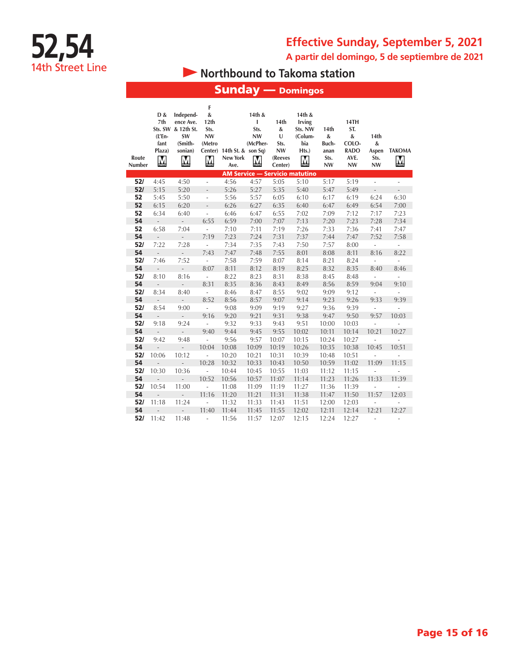



# **• Northbound to Takoma station**

| <b>Sunday — Domingos</b>              |                                                                              |                                                                                             |                                                                             |                                                |                                                                         |                                                                |                                                             |                                                 |                                                               |                                            |                                  |
|---------------------------------------|------------------------------------------------------------------------------|---------------------------------------------------------------------------------------------|-----------------------------------------------------------------------------|------------------------------------------------|-------------------------------------------------------------------------|----------------------------------------------------------------|-------------------------------------------------------------|-------------------------------------------------|---------------------------------------------------------------|--------------------------------------------|----------------------------------|
| Route<br>Number                       | D &<br>7th<br>Sts. SW<br>(L'En-<br>fant<br>Plaza)<br>$\overline{\mathsf{M}}$ | Independ-<br>ence Ave.<br>& 12th St.<br>SW<br>(Smith-<br>sonian)<br>$\overline{\mathsf{M}}$ | F<br>$\&$<br>12th<br>Sts.<br><b>NW</b><br>(Metro<br>$\overline{\mathsf{M}}$ | Center) 14th St. & son Sq)<br>New York<br>Ave. | 14th &<br>I<br>Sts.<br><b>NW</b><br>(McPher-<br>$\overline{\mathsf{M}}$ | 14th<br>&<br>$\cup$<br>Sts.<br><b>NW</b><br>(Reeves<br>Center) | 14th &<br>Irving<br>Sts. NW<br>(Colum-<br>bia<br>Hts.)<br>M | 14th<br>&<br>Buch-<br>anan<br>Sts.<br><b>NW</b> | 14TH<br>ST.<br>&<br>COLO-<br><b>RADO</b><br>AVE.<br><b>NW</b> | 14th<br>$\&$<br>Aspen<br>Sts.<br><b>NW</b> | <b>TAKOMA</b><br>M               |
| <b>AM Service - Servicio matutino</b> |                                                                              |                                                                                             |                                                                             |                                                |                                                                         |                                                                |                                                             |                                                 |                                                               |                                            |                                  |
| 52/                                   | 4:45                                                                         | 4:50                                                                                        | ÷,                                                                          | 4:56                                           | 4:57                                                                    | 5:05                                                           | 5:10                                                        | 5:17                                            | 5:19                                                          | $\overline{\phantom{a}}$                   | $\overline{\phantom{a}}$         |
| 52/                                   | 5:15                                                                         | 5:20                                                                                        | $\overline{a}$                                                              | 5:26                                           | 5:27                                                                    | 5:35                                                           | 5:40                                                        | 5:47                                            | 5:49                                                          | ÷,                                         | $\overline{a}$                   |
| 52                                    | 5:45                                                                         | 5:50                                                                                        | $\overline{\phantom{a}}$                                                    | 5:56                                           | 5:57                                                                    | 6:05                                                           | 6:10                                                        | 6:17                                            | 6:19                                                          | 6:24                                       | 6:30                             |
| 52                                    | 6:15                                                                         | 6:20                                                                                        | $\overline{a}$                                                              | 6:26                                           | 6:27                                                                    | 6:35                                                           | 6:40                                                        | 6:47                                            | 6:49                                                          | 6:54                                       | 7:00                             |
| 52                                    | 6:34                                                                         | 6:40                                                                                        | L,                                                                          | 6:46                                           | 6:47                                                                    | 6:55                                                           | 7:02                                                        | 7:09                                            | 7:12                                                          | 7:17                                       | 7:23                             |
| 54                                    | $\overline{a}$                                                               | $\overline{\phantom{a}}$                                                                    | 6:55                                                                        | 6:59                                           | 7:00                                                                    | 7:07                                                           | 7:13                                                        | 7:20                                            | 7:23                                                          | 7:28                                       | 7:34                             |
| 52                                    | 6:58                                                                         | 7:04                                                                                        | ÷,                                                                          | 7:10                                           | 7:11                                                                    | 7:19                                                           | 7:26                                                        | 7:33                                            | 7:36                                                          | 7:41                                       | 7:47                             |
| 54                                    | $\overline{\phantom{a}}$                                                     | $\overline{\phantom{a}}$                                                                    | 7:19                                                                        | 7:23                                           | 7:24                                                                    | 7:31                                                           | 7:37                                                        | 7:44                                            | 7:47                                                          | 7:52                                       | 7:58                             |
| 52/                                   | 7:22                                                                         | 7:28                                                                                        | L,                                                                          | 7:34                                           | 7:35                                                                    | 7:43                                                           | 7:50                                                        | 7:57                                            | 8:00                                                          | $\overline{a}$                             | ÷                                |
| 54                                    | L,                                                                           | $\qquad \qquad -$                                                                           | 7:43                                                                        | 7:47                                           | 7:48                                                                    | 7:55                                                           | 8:01                                                        | 8:08                                            | 8:11                                                          | 8:16                                       | 8:22                             |
| 52/<br>54                             | 7:46<br>$\frac{1}{2}$                                                        | 7:52                                                                                        | $\overline{\phantom{a}}$<br>8:07                                            | 7:58<br>8:11                                   | 7:59<br>8:12                                                            | 8:07<br>8:19                                                   | 8:14<br>8:25                                                | 8:21<br>8:32                                    | 8:24<br>8:35                                                  | L,<br>8:40                                 | ÷,<br>8:46                       |
| 52/                                   | 8:10                                                                         | $\overline{\phantom{a}}$<br>8:16                                                            | L,                                                                          | 8:22                                           | 8:23                                                                    | 8:31                                                           | 8:38                                                        | 8:45                                            | 8:48                                                          |                                            |                                  |
| 54                                    |                                                                              |                                                                                             | 8:31                                                                        | 8:35                                           | 8:36                                                                    | 8:43                                                           | 8:49                                                        | 8:56                                            | 8:59                                                          | L,<br>9:04                                 | $\overline{a}$<br>9:10           |
| 52/                                   | $\frac{1}{2}$<br>8:34                                                        | $\frac{1}{2}$<br>8:40                                                                       | $\overline{\phantom{a}}$                                                    | 8:46                                           | 8:47                                                                    | 8:55                                                           | 9:02                                                        | 9:09                                            | 9:12                                                          | ÷,                                         |                                  |
| 54                                    | $\overline{\phantom{a}}$                                                     |                                                                                             | 8:52                                                                        | 8:56                                           | 8:57                                                                    | 9:07                                                           | 9:14                                                        | 9:23                                            | 9:26                                                          | 9:33                                       | $\overline{\phantom{a}}$<br>9:39 |
| 52/                                   | 8:54                                                                         | $\sim$<br>9:00                                                                              | L,                                                                          | 9:08                                           | 9:09                                                                    | 9:19                                                           | 9:27                                                        | 9:36                                            | 9:39                                                          | ÷,                                         | L,                               |
| 54                                    | $\overline{a}$                                                               | $\overline{\phantom{m}}$                                                                    | 9:16                                                                        | 9:20                                           | 9:21                                                                    | 9:31                                                           | 9:38                                                        | 9:47                                            | 9:50                                                          | 9:57                                       | 10:03                            |
| 52/                                   | 9:18                                                                         | 9:24                                                                                        | $\overline{a}$                                                              | 9:32                                           | 9:33                                                                    | 9:43                                                           | 9:51                                                        | 10:00                                           | 10:03                                                         | $\overline{a}$                             | L                                |
| 54                                    | $\frac{1}{2}$                                                                | $\mathcal{L}^{\pm}$                                                                         | 9:40                                                                        | 9:44                                           | 9:45                                                                    | 9:55                                                           | 10:02                                                       | 10:11                                           | 10:14                                                         | 10:21                                      | 10:27                            |
| 52/                                   | 9:42                                                                         | 9:48                                                                                        | L,                                                                          | 9:56                                           | 9:57                                                                    | 10:07                                                          | 10:15                                                       | 10:24                                           | 10:27                                                         | L,                                         | $\overline{a}$                   |
| 54                                    | $\overline{a}$                                                               | $\overline{\phantom{a}}$                                                                    | 10:04                                                                       | 10:08                                          | 10:09                                                                   | 10:19                                                          | 10:26                                                       | 10:35                                           | 10:38                                                         | 10:45                                      | 10:51                            |
| 52/                                   | 10:06                                                                        | 10:12                                                                                       | $\overline{a}$                                                              | 10:20                                          | 10:21                                                                   | 10:31                                                          | 10:39                                                       | 10:48                                           | 10:51                                                         | $\overline{a}$                             | L,                               |
| 54                                    | $\overline{a}$                                                               | $\sim$                                                                                      | 10:28                                                                       | 10:32                                          | 10:33                                                                   | 10:43                                                          | 10:50                                                       | 10:59                                           | 11:02                                                         | 11:09                                      | 11:15                            |
| 52/                                   | 10:30                                                                        | 10:36                                                                                       | $\overline{a}$                                                              | 10:44                                          | 10:45                                                                   | 10:55                                                          | 11:03                                                       | 11:12                                           | 11:15                                                         | ÷,                                         |                                  |
| 54                                    |                                                                              |                                                                                             | 10:52                                                                       | 10:56                                          | 10:57                                                                   | 11:07                                                          | 11:14                                                       | 11:23                                           | 11:26                                                         | 11:33                                      | 11:39                            |
| 52/                                   | 10:54                                                                        | 11:00                                                                                       | $\overline{a}$                                                              | 11:08                                          | 11:09                                                                   | 11:19                                                          | 11:27                                                       | 11:36                                           | 11:39                                                         | ÷,                                         | Ĭ.                               |
| 54                                    | $\overline{a}$                                                               | ÷.                                                                                          | 11:16                                                                       | 11:20                                          | 11:21                                                                   | 11:31                                                          | 11:38                                                       | 11:47                                           | 11:50                                                         | 11:57                                      | 12:03                            |
| 52/                                   | 11:18                                                                        | 11:24                                                                                       | L,                                                                          | 11:32                                          | 11:33                                                                   | 11:43                                                          | 11:51                                                       | 12:00                                           | 12:03                                                         | ÷                                          | $\overline{a}$                   |
| 54                                    |                                                                              |                                                                                             | 11:40                                                                       | 11:44                                          | 11:45                                                                   | 11:55                                                          | 12:02                                                       | 12:11                                           | 12:14                                                         | 12:21                                      | 12:27                            |
| 52/                                   | 11:42                                                                        | 11:48                                                                                       | ÷,                                                                          | 11:56                                          | 11:57                                                                   | 12:07                                                          | 12:15                                                       | 12:24                                           | 12:27                                                         | ÷,                                         | ÷                                |